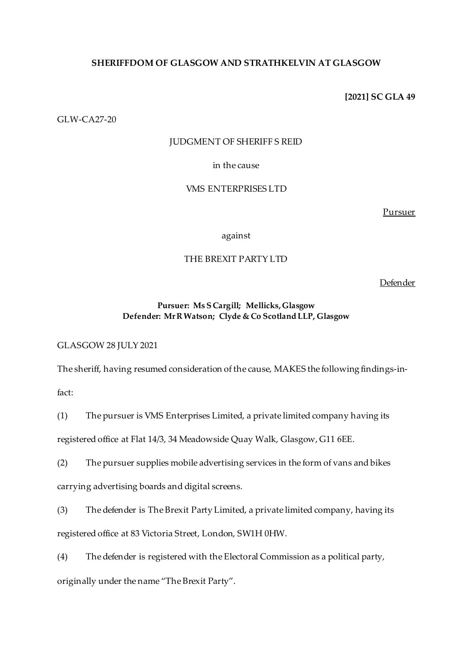## **SHERIFFDOM OF GLASGOW AND STRATHKELVIN AT GLASGOW**

**[2021] SC GLA 49**

GLW-CA27-20

## JUDGMENT OF SHERIFF S REID

## in the cause

# VMS ENTERPRISES LTD

Pursuer

against

# THE BREXIT PARTY LTD

Defender

## **Pursuer: Ms S Cargill; Mellicks, Glasgow Defender: Mr R Watson; Clyde & Co Scotland LLP, Glasgow**

GLASGOW 28 JULY 2021

The sheriff, having resumed consideration of the cause, MAKES the following findings-in-

fact:

(1) The pursuer is VMS Enterprises Limited, a private limited company having its registered office at Flat 14/3, 34 Meadowside Quay Walk, Glasgow, G11 6EE.

(2) The pursuer supplies mobile advertising services in the form of vans and bikes carrying advertising boards and digital screens.

(3) The defender is The Brexit Party Limited, a private limited company, having its registered office at 83 Victoria Street, London, SW1H 0HW.

(4) The defender is registered with the Electoral Commission as a political party, originally under the name "The Brexit Party".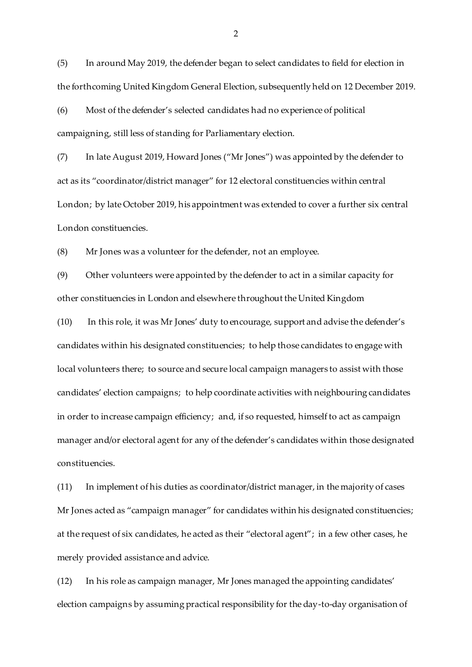(5) In around May 2019, the defender began to select candidates to field for election in the forthcoming United Kingdom General Election, subsequently held on 12 December 2019.

(6) Most of the defender's selected candidates had no experience of political campaigning, still less of standing for Parliamentary election.

(7) In late August 2019, Howard Jones ("Mr Jones") was appointed by the defender to act as its "coordinator/district manager" for 12 electoral constituencies within central London; by late October 2019, his appointment was extended to cover a further six central London constituencies.

(8) Mr Jones was a volunteer for the defender, not an employee.

(9) Other volunteers were appointed by the defender to act in a similar capacity for other constituencies in London and elsewhere throughout the United Kingdom

(10) In this role, it was Mr Jones' duty to encourage, support and advise the defender's candidates within his designated constituencies; to help those candidates to engage with local volunteers there; to source and secure local campaign managers to assist with those candidates' election campaigns; to help coordinate activities with neighbouring candidates in order to increase campaign efficiency; and, if so requested, himself to act as campaign manager and/or electoral agent for any of the defender's candidates within those designated constituencies.

(11) In implement of his duties as coordinator/district manager, in the majority of cases Mr Jones acted as "campaign manager" for candidates within his designated constituencies; at the request of six candidates, he acted as their "electoral agent"; in a few other cases, he merely provided assistance and advice.

(12) In his role as campaign manager, Mr Jones managed the appointing candidates' election campaigns by assuming practical responsibility for the day-to-day organisation of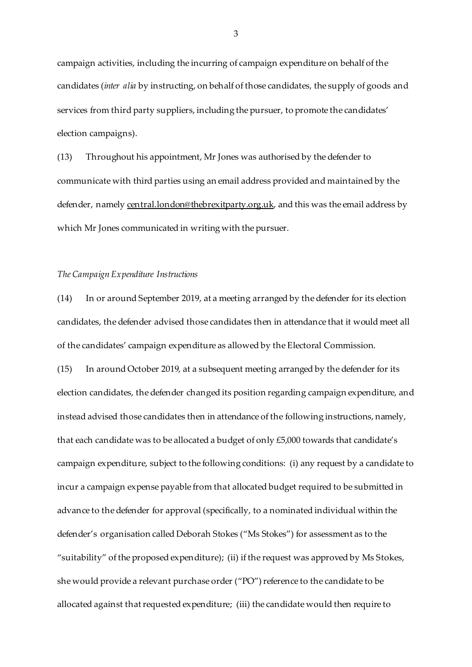campaign activities, including the incurring of campaign expenditure on behalf of the candidates (*inter alia* by instructing, on behalf of those candidates, the supply of goods and services from third party suppliers, including the pursuer, to promote the candidates' election campaigns).

(13) Throughout his appointment, Mr Jones was authorised by the defender to communicate with third parties using an email address provided and maintained by the defender, namely [central.london@thebrexitparty.org.uk](mailto:central.london@thebrexitparty.org.uk), and this was the email address by which Mr Jones communicated in writing with the pursuer.

## *The Campaign Expenditure Instructions*

(14) In or around September 2019, at a meeting arranged by the defender for its election candidates, the defender advised those candidates then in attendance that it would meet all of the candidates' campaign expenditure as allowed by the Electoral Commission.

(15) In around October 2019, at a subsequent meeting arranged by the defender for its election candidates, the defender changed its position regarding campaign expenditure, and instead advised those candidates then in attendance of the following instructions, namely, that each candidate was to be allocated a budget of only £5,000 towards that candidate's campaign expenditure, subject to the following conditions: (i) any request by a candidate to incur a campaign expense payable from that allocated budget required to be submitted in advance to the defender for approval (specifically, to a nominated individual within the defender's organisation called Deborah Stokes ("Ms Stokes") for assessment as to the "suitability" of the proposed expenditure); (ii) if the request was approved by Ms Stokes, she would provide a relevant purchase order ("PO") reference to the candidate to be allocated against that requested expenditure; (iii) the candidate would then require to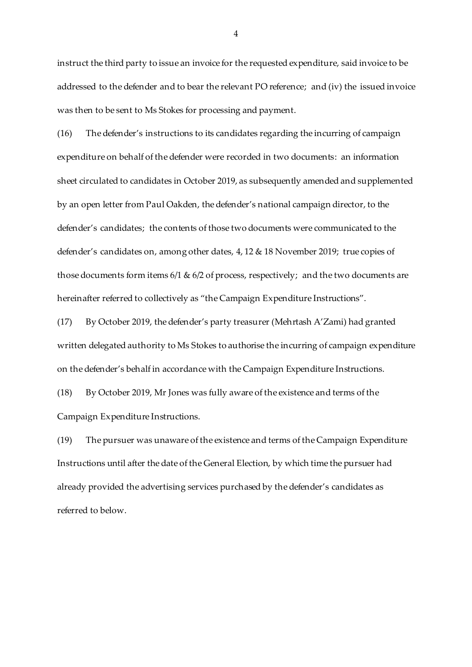instruct the third party to issue an invoice for the requested expenditure, said invoice to be addressed to the defender and to bear the relevant PO reference; and (iv) the issued invoice was then to be sent to Ms Stokes for processing and payment.

(16) The defender's instructions to its candidates regarding the incurring of campaign expenditure on behalf of the defender were recorded in two documents: an information sheet circulated to candidates in October 2019, as subsequently amended and supplemented by an open letter from Paul Oakden, the defender's national campaign director, to the defender's candidates; the contents of those two documents were communicated to the defender's candidates on, among other dates, 4, 12 & 18 November 2019; true copies of those documents form items 6/1 & 6/2 of process, respectively; and the two documents are hereinafter referred to collectively as "the Campaign Expenditure Instructions".

(17) By October 2019, the defender's party treasurer (Mehrtash A'Zami) had granted written delegated authority to Ms Stokes to authorise the incurring of campaign expenditure on the defender's behalf in accordance with the Campaign Expenditure Instructions.

(18) By October 2019, Mr Jones was fully aware of the existence and terms of the Campaign Expenditure Instructions.

(19) The pursuer was unaware of the existence and terms of the Campaign Expenditure Instructions until after the date of the General Election, by which time the pursuer had already provided the advertising services purchased by the defender's candidates as referred to below.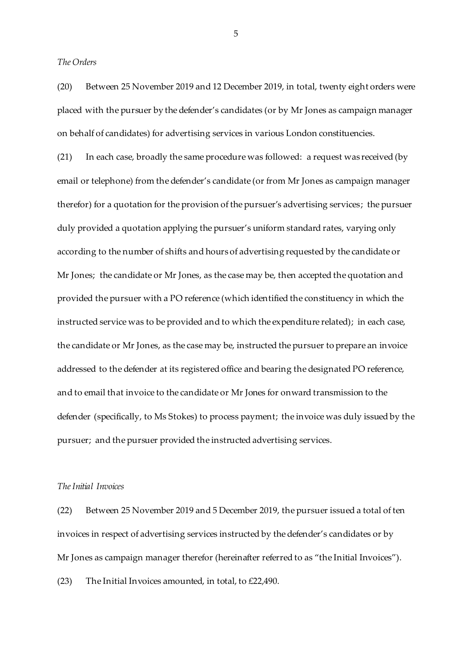*The Orders*

(20) Between 25 November 2019 and 12 December 2019, in total, twenty eight orders were placed with the pursuer by the defender's candidates (or by Mr Jones as campaign manager on behalf of candidates) for advertising services in various London constituencies.

(21) In each case, broadly the same procedure was followed: a request was received (by email or telephone) from the defender's candidate (or from Mr Jones as campaign manager therefor) for a quotation for the provision of the pursuer's advertising services; the pursuer duly provided a quotation applying the pursuer's uniform standard rates, varying only according to the number of shifts and hours of advertising requested by the candidate or Mr Jones; the candidate or Mr Jones, as the case may be, then accepted the quotation and provided the pursuer with a PO reference (which identified the constituency in which the instructed service was to be provided and to which the expenditure related); in each case, the candidate or Mr Jones, as the case may be, instructed the pursuer to prepare an invoice addressed to the defender at its registered office and bearing the designated PO reference, and to email that invoice to the candidate or Mr Jones for onward transmission to the defender (specifically, to Ms Stokes) to process payment; the invoice was duly issued by the pursuer; and the pursuer provided the instructed advertising services.

### *The Initial Invoices*

(22) Between 25 November 2019 and 5 December 2019, the pursuer issued a total of ten invoices in respect of advertising services instructed by the defender's candidates or by Mr Jones as campaign manager therefor (hereinafter referred to as "the Initial Invoices"). (23) The Initial Invoices amounted, in total, to £22,490.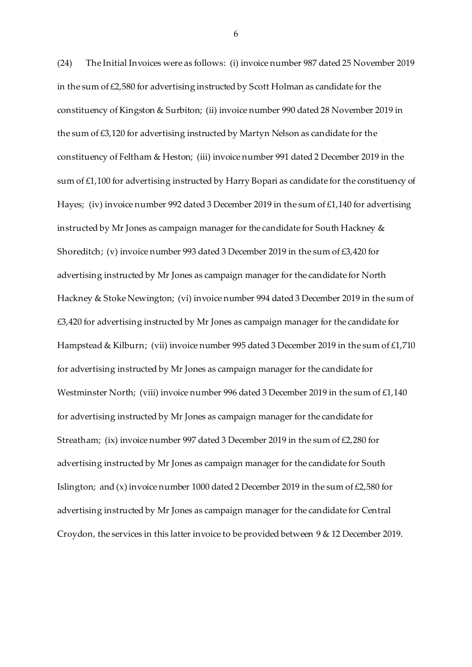(24) The Initial Invoices were as follows: (i) invoice number 987 dated 25 November 2019 in the sum of  $\text{\pounds}2,580$  for advertising instructed by Scott Holman as candidate for the constituency of Kingston & Surbiton; (ii) invoice number 990 dated 28 November 2019 in the sum of £3,120 for advertising instructed by Martyn Nelson as candidate for the constituency of Feltham & Heston; (iii) invoice number 991 dated 2 December 2019 in the sum of £1,100 for advertising instructed by Harry Bopari as candidate for the constituency of Hayes; (iv) invoice number 992 dated 3 December 2019 in the sum of £1,140 for advertising instructed by Mr Jones as campaign manager for the candidate for South Hackney & Shoreditch; (v) invoice number 993 dated 3 December 2019 in the sum of £3,420 for advertising instructed by Mr Jones as campaign manager for the candidate for North Hackney & Stoke Newington; (vi) invoice number 994 dated 3 December 2019 in the sum of £3,420 for advertising instructed by Mr Jones as campaign manager for the candidate for Hampstead & Kilburn; (vii) invoice number 995 dated 3 December 2019 in the sum of £1,710 for advertising instructed by Mr Jones as campaign manager for the candidate for Westminster North; (viii) invoice number 996 dated 3 December 2019 in the sum of £1,140 for advertising instructed by Mr Jones as campaign manager for the candidate for Streatham; (ix) invoice number 997 dated 3 December 2019 in the sum of  $\text{\textsterling}2,280$  for advertising instructed by Mr Jones as campaign manager for the candidate for South Islington; and  $(x)$  invoice number 1000 dated 2 December 2019 in the sum of £2,580 for advertising instructed by Mr Jones as campaign manager for the candidate for Central Croydon, the services in this latter invoice to be provided between 9 & 12 December 2019.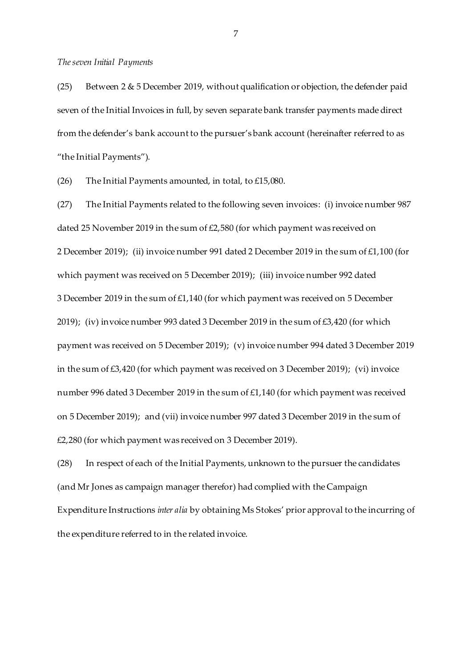#### *The seven Initial Payments*

(25) Between 2 & 5 December 2019, without qualification or objection, the defender paid seven of the Initial Invoices in full, by seven separate bank transfer payments made direct from the defender's bank account to the pursuer's bank account (hereinafter referred to as "the Initial Payments").

(26) The Initial Payments amounted, in total, to £15,080.

(27) The Initial Payments related to the following seven invoices: (i) invoice number 987 dated 25 November 2019 in the sum of £2,580 (for which payment was received on 2 December 2019); (ii) invoice number 991 dated 2 December 2019 in the sum of £1,100 (for which payment was received on 5 December 2019); (iii) invoice number 992 dated 3 December 2019 in the sum of £1,140 (for which payment was received on 5 December 2019); (iv) invoice number 993 dated 3 December 2019 in the sum of £3,420 (for which payment was received on 5 December 2019); (v) invoice number 994 dated 3 December 2019 in the sum of  $\text{\pounds}3,420$  (for which payment was received on 3 December 2019); (vi) invoice number 996 dated 3 December 2019 in the sum of £1,140 (for which payment was received on 5 December 2019); and (vii) invoice number 997 dated 3 December 2019 in the sum of £2,280 (for which payment was received on 3 December 2019).

(28) In respect of each of the Initial Payments, unknown to the pursuer the candidates (and Mr Jones as campaign manager therefor) had complied with the Campaign Expenditure Instructions *inter alia* by obtaining Ms Stokes' prior approval to the incurring of the expenditure referred to in the related invoice.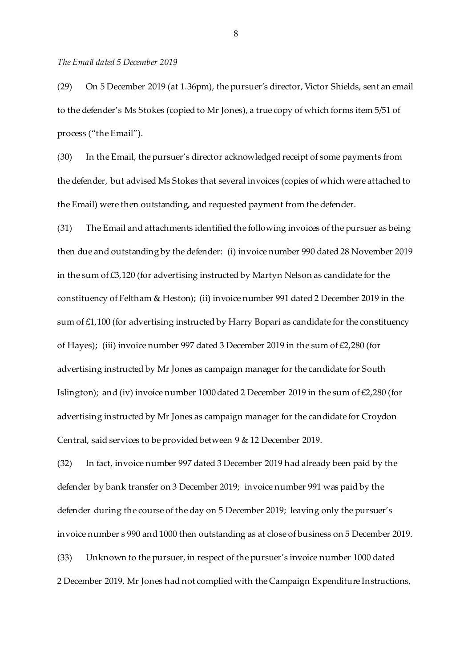#### *The Email dated 5 December 2019*

(29) On 5 December 2019 (at 1.36pm), the pursuer's director, Victor Shields, sent an email to the defender's Ms Stokes (copied to Mr Jones), a true copy of which forms item 5/51 of process ("the Email").

(30) In the Email, the pursuer's director acknowledged receipt of some payments from the defender, but advised Ms Stokes that several invoices (copies of which were attached to the Email) were then outstanding, and requested payment from the defender.

(31) The Email and attachments identified the following invoices of the pursuer as being then due and outstanding by the defender: (i) invoice number 990 dated 28 November 2019 in the sum of £3,120 (for advertising instructed by Martyn Nelson as candidate for the constituency of Feltham & Heston); (ii) invoice number 991 dated 2 December 2019 in the sum of  $£1,100$  (for advertising instructed by Harry Bopari as candidate for the constituency of Hayes); (iii) invoice number 997 dated 3 December 2019 in the sum of £2,280 (for advertising instructed by Mr Jones as campaign manager for the candidate for South Islington); and (iv) invoice number 1000 dated 2 December 2019 in the sum of £2,280 (for advertising instructed by Mr Jones as campaign manager for the candidate for Croydon Central, said services to be provided between 9 & 12 December 2019.

(32) In fact, invoice number 997 dated 3 December 2019 had already been paid by the defender by bank transfer on 3 December 2019; invoice number 991 was paid by the defender during the course of the day on 5 December 2019; leaving only the pursuer's invoice number s 990 and 1000 then outstanding as at close of business on 5 December 2019. (33) Unknown to the pursuer, in respect of the pursuer's invoice number 1000 dated 2 December 2019, Mr Jones had not complied with the Campaign Expenditure Instructions,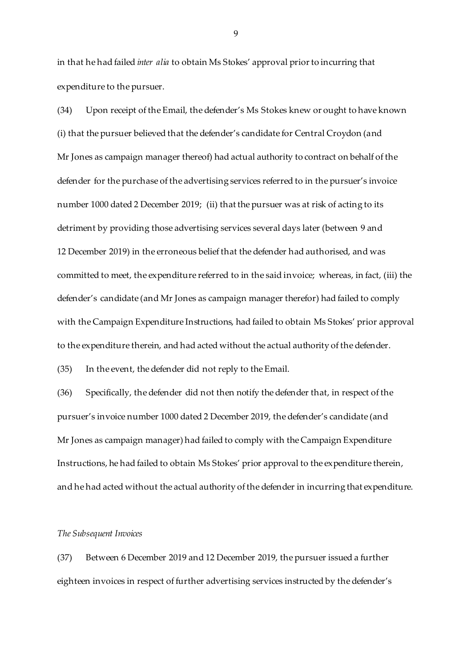in that he had failed *inter alia* to obtain Ms Stokes' approval prior to incurring that expenditure to the pursuer.

(34) Upon receipt of the Email, the defender's Ms Stokes knew or ought to have known (i) that the pursuer believed that the defender's candidate for Central Croydon (and Mr Jones as campaign manager thereof) had actual authority to contract on behalf of the defender for the purchase of the advertising services referred to in the pursuer's invoice number 1000 dated 2 December 2019; (ii) that the pursuer was at risk of acting to its detriment by providing those advertising services several days later (between 9 and 12 December 2019) in the erroneous belief that the defender had authorised, and was committed to meet, the expenditure referred to in the said invoice; whereas, in fact, (iii) the defender's candidate (and Mr Jones as campaign manager therefor) had failed to comply with the Campaign Expenditure Instructions, had failed to obtain Ms Stokes' prior approval to the expenditure therein, and had acted without the actual authority of the defender.

(35) In the event, the defender did not reply to the Email.

(36) Specifically, the defender did not then notify the defender that, in respect of the pursuer's invoice number 1000 dated 2 December 2019, the defender's candidate (and Mr Jones as campaign manager) had failed to comply with the Campaign Expenditure Instructions, he had failed to obtain Ms Stokes' prior approval to the expenditure therein, and he had acted without the actual authority of the defender in incurring that expenditure.

### *The Subsequent Invoices*

(37) Between 6 December 2019 and 12 December 2019, the pursuer issued a further eighteen invoices in respect of further advertising services instructed by the defender's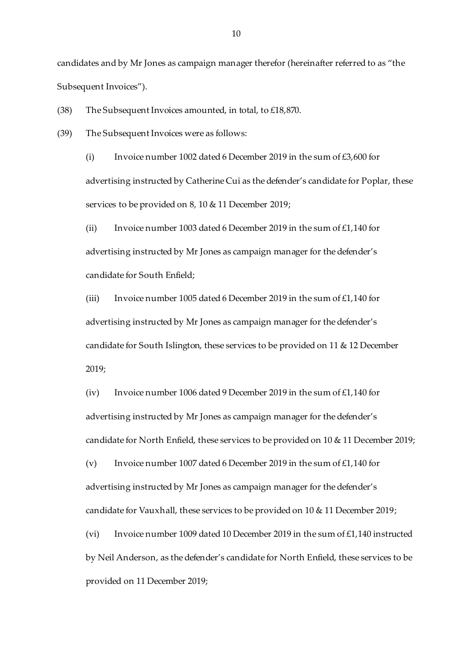candidates and by Mr Jones as campaign manager therefor (hereinafter referred to as "the Subsequent Invoices").

(38) The Subsequent Invoices amounted, in total, to £18,870.

(39) The Subsequent Invoices were as follows:

(i) Invoice number 1002 dated 6 December 2019 in the sum of  $\text{\pounds}3,600$  for advertising instructed by Catherine Cui as the defender's candidate for Poplar, these services to be provided on 8, 10 & 11 December 2019;

(ii) Invoice number 1003 dated 6 December 2019 in the sum of  $£1,140$  for advertising instructed by Mr Jones as campaign manager for the defender's candidate for South Enfield;

(iii) Invoice number 1005 dated 6 December 2019 in the sum of £1,140 for advertising instructed by Mr Jones as campaign manager for the defender's candidate for South Islington, these services to be provided on 11 & 12 December 2019;

(iv) Invoice number 1006 dated 9 December 2019 in the sum of £1,140 for advertising instructed by Mr Jones as campaign manager for the defender's candidate for North Enfield, these services to be provided on 10 & 11 December 2019;

(v) Invoice number 1007 dated 6 December 2019 in the sum of £1,140 for advertising instructed by Mr Jones as campaign manager for the defender's candidate for Vauxhall, these services to be provided on 10 & 11 December 2019; (vi) Invoice number 1009 dated 10 December 2019 in the sum of £1,140 instructed by Neil Anderson, as the defender's candidate for North Enfield, these services to be provided on 11 December 2019;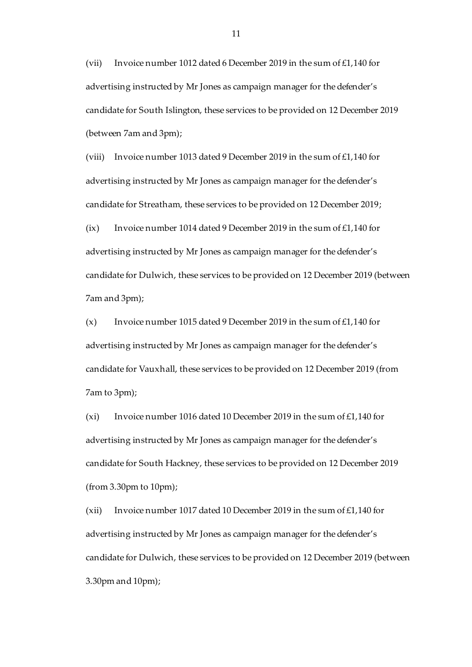(vii) Invoice number 1012 dated 6 December 2019 in the sum of  $£1,140$  for advertising instructed by Mr Jones as campaign manager for the defender's candidate for South Islington, these services to be provided on 12 December 2019 (between 7am and 3pm);

(viii) Invoice number 1013 dated 9 December 2019 in the sum of £1,140 for advertising instructed by Mr Jones as campaign manager for the defender's candidate for Streatham, these services to be provided on 12 December 2019; (ix) Invoice number 1014 dated 9 December 2019 in the sum of £1,140 for advertising instructed by Mr Jones as campaign manager for the defender's candidate for Dulwich, these services to be provided on 12 December 2019 (between 7am and 3pm);

(x) Invoice number 1015 dated 9 December 2019 in the sum of £1,140 for advertising instructed by Mr Jones as campaign manager for the defender's candidate for Vauxhall, these services to be provided on 12 December 2019 (from 7am to 3pm);

(xi) Invoice number 1016 dated 10 December 2019 in the sum of £1,140 for advertising instructed by Mr Jones as campaign manager for the defender's candidate for South Hackney, these services to be provided on 12 December 2019 (from 3.30pm to 10pm);

(xii) Invoice number 1017 dated 10 December 2019 in the sum of £1,140 for advertising instructed by Mr Jones as campaign manager for the defender's candidate for Dulwich, these services to be provided on 12 December 2019 (between 3.30pm and 10pm);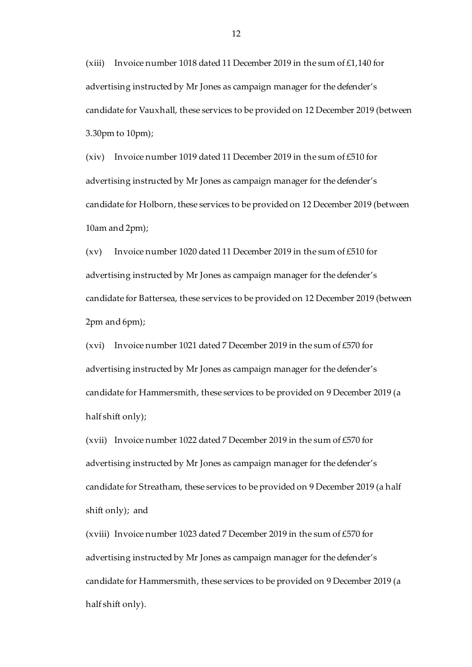(xiii) Invoice number 1018 dated 11 December 2019 in the sum of £1,140 for advertising instructed by Mr Jones as campaign manager for the defender's candidate for Vauxhall, these services to be provided on 12 December 2019 (between 3.30pm to 10pm);

(xiv) Invoice number 1019 dated 11 December 2019 in the sum of £510 for advertising instructed by Mr Jones as campaign manager for the defender's candidate for Holborn, these services to be provided on 12 December 2019 (between 10am and 2pm);

(xv) Invoice number 1020 dated 11 December 2019 in the sum of £510 for advertising instructed by Mr Jones as campaign manager for the defender's candidate for Battersea, these services to be provided on 12 December 2019 (between 2pm and 6pm);

(xvi) Invoice number 1021 dated 7 December 2019 in the sum of £570 for advertising instructed by Mr Jones as campaign manager for the defender's candidate for Hammersmith, these services to be provided on 9 December 2019 (a half shift only);

(xvii) Invoice number 1022 dated 7 December 2019 in the sum of £570 for advertising instructed by Mr Jones as campaign manager for the defender's candidate for Streatham, these services to be provided on 9 December 2019 (a half shift only); and

(xviii) Invoice number 1023 dated 7 December 2019 in the sum of £570 for advertising instructed by Mr Jones as campaign manager for the defender's candidate for Hammersmith, these services to be provided on 9 December 2019 (a half shift only).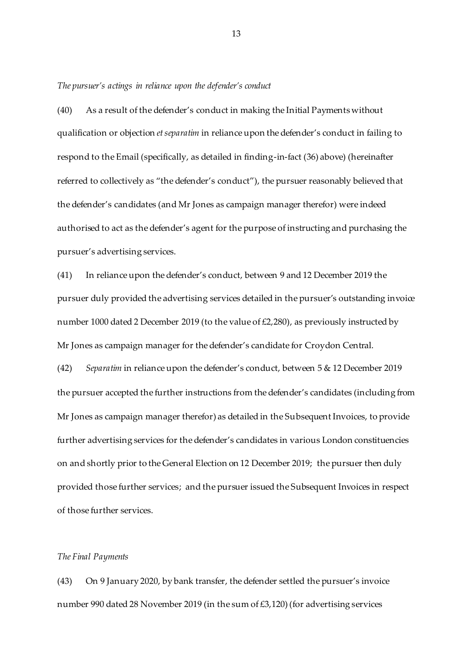*The pursuer's actings in reliance upon the defender's conduct*

(40) As a result of the defender's conduct in making the Initial Payments without qualification or objection *et separatim* in reliance upon the defender's conduct in failing to respond to the Email (specifically, as detailed in finding-in-fact (36) above) (hereinafter referred to collectively as "the defender's conduct"), the pursuer reasonably believed that the defender's candidates (and Mr Jones as campaign manager therefor) were indeed authorised to act as the defender's agent for the purpose of instructing and purchasing the pursuer's advertising services.

(41) In reliance upon the defender's conduct, between 9 and 12 December 2019 the pursuer duly provided the advertising services detailed in the pursuer's outstanding invoice number 1000 dated 2 December 2019 (to the value of £2,280), as previously instructed by Mr Jones as campaign manager for the defender's candidate for Croydon Central.

(42) *Separatim* in reliance upon the defender's conduct, between 5 & 12 December 2019 the pursuer accepted the further instructions from the defender's candidates (including from Mr Jones as campaign manager therefor) as detailed in the Subsequent Invoices, to provide further advertising services for the defender's candidates in various London constituencies on and shortly prior to the General Election on 12 December 2019; the pursuer then duly provided those further services; and the pursuer issued the Subsequent Invoices in respect of those further services.

#### *The Final Payments*

(43) On 9 January 2020, by bank transfer, the defender settled the pursuer's invoice number 990 dated 28 November 2019 (in the sum of £3,120) (for advertising services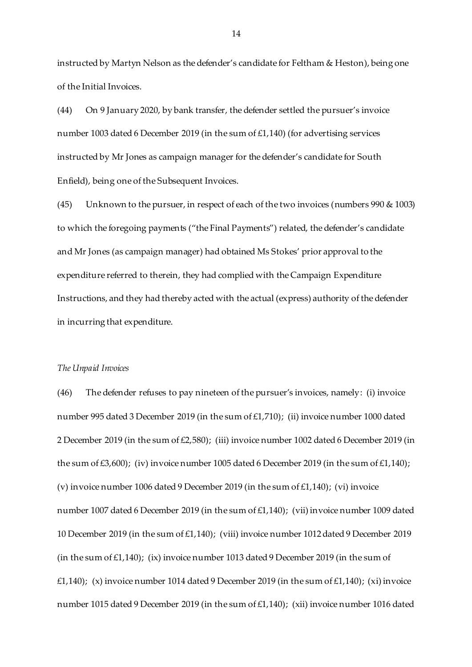instructed by Martyn Nelson as the defender's candidate for Feltham & Heston), being one of the Initial Invoices.

(44) On 9 January 2020, by bank transfer, the defender settled the pursuer's invoice number 1003 dated 6 December 2019 (in the sum of £1,140) (for advertising services instructed by Mr Jones as campaign manager for the defender's candidate for South Enfield), being one of the Subsequent Invoices.

(45) Unknown to the pursuer, in respect of each of the two invoices (numbers 990 & 1003) to which the foregoing payments ("the Final Payments") related, the defender's candidate and Mr Jones (as campaign manager) had obtained Ms Stokes' prior approval to the expenditure referred to therein, they had complied with the Campaign Expenditure Instructions, and they had thereby acted with the actual (express) authority of the defender in incurring that expenditure.

### *The Unpaid Invoices*

(46) The defender refuses to pay nineteen of the pursuer's invoices, namely: (i) invoice number 995 dated 3 December 2019 (in the sum of £1,710); (ii) invoice number 1000 dated 2 December 2019 (in the sum of £2,580); (iii) invoice number 1002 dated 6 December 2019 (in the sum of £3,600); (iv) invoice number 1005 dated 6 December 2019 (in the sum of £1,140); (v) invoice number 1006 dated 9 December 2019 (in the sum of £1,140); (vi) invoice number 1007 dated 6 December 2019 (in the sum of £1,140); (vii) invoice number 1009 dated 10 December 2019 (in the sum of £1,140); (viii) invoice number 1012 dated 9 December 2019 (in the sum of  $£1,140$ ); (ix) invoice number 1013 dated 9 December 2019 (in the sum of £1,140); (x) invoice number 1014 dated 9 December 2019 (in the sum of £1,140); (xi) invoice number 1015 dated 9 December 2019 (in the sum of £1,140); (xii) invoice number 1016 dated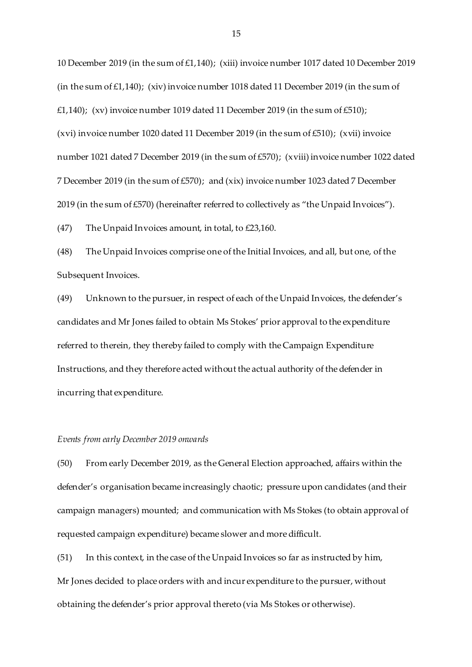10 December 2019 (in the sum of £1,140); (xiii) invoice number 1017 dated 10 December 2019 (in the sum of £1,140); (xiv) invoice number 1018 dated 11 December 2019 (in the sum of £1,140); (xv) invoice number 1019 dated 11 December 2019 (in the sum of £510); (xvi) invoice number 1020 dated 11 December 2019 (in the sum of £510); (xvii) invoice number 1021 dated 7 December 2019 (in the sum of £570); (xviii) invoice number 1022 dated 7 December 2019 (in the sum of £570); and (xix) invoice number 1023 dated 7 December 2019 (in the sum of £570) (hereinafter referred to collectively as "the Unpaid Invoices").

(47) The Unpaid Invoices amount, in total, to £23,160.

(48) The Unpaid Invoices comprise one of the Initial Invoices, and all, but one, of the Subsequent Invoices.

(49) Unknown to the pursuer, in respect of each of the Unpaid Invoices, the defender's candidates and Mr Jones failed to obtain Ms Stokes' prior approval to the expenditure referred to therein, they thereby failed to comply with the Campaign Expenditure Instructions, and they therefore acted without the actual authority of the defender in incurring that expenditure.

#### *Events from early December 2019 onwards*

(50) From early December 2019, as the General Election approached, affairs within the defender's organisation became increasingly chaotic; pressure upon candidates (and their campaign managers) mounted; and communication with Ms Stokes (to obtain approval of requested campaign expenditure) became slower and more difficult.

(51) In this context, in the case of the Unpaid Invoices so far as instructed by him, Mr Jones decided to place orders with and incur expenditure to the pursuer, without obtaining the defender's prior approval thereto (via Ms Stokes or otherwise).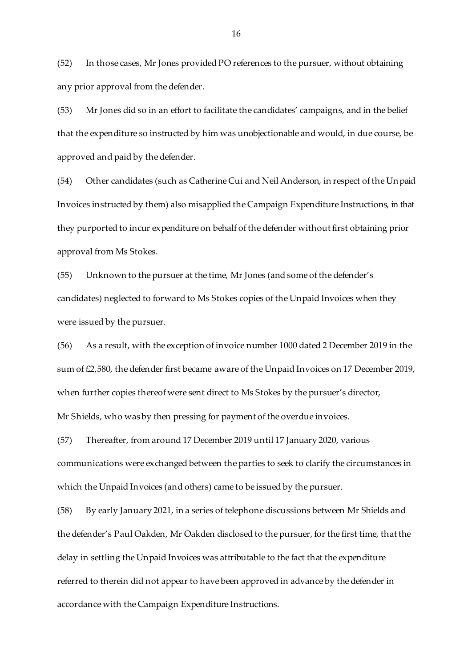(52) In those cases, Mr Jones provided PO references to the pursuer, without obtaining any prior approval from the defender.

(53) Mr Jones did so in an effort to facilitate the candidates' campaigns, and in the belief that the expenditure so instructed by him was unobjectionable and would, in due course, be approved and paid by the defender.

(54) Other candidates (such as Catherine Cui and Neil Anderson, in respect of the Unpaid Invoices instructed by them) also misapplied the Campaign Expenditure Instructions, in that they purported to incur expenditure on behalf of the defender without first obtaining prior approval from Ms Stokes.

(55) Unknown to the pursuer at the time, Mr Jones (and some of the defender's candidates) neglected to forward to Ms Stokes copies of the Unpaid Invoices when they were issued by the pursuer.

(56) As a result, with the exception of invoice number 1000 dated 2 December 2019 in the sum of £2,580, the defender first became aware of the Unpaid Invoices on 17 December 2019, when further copies thereof were sent direct to Ms Stokes by the pursuer's director, Mr Shields, who was by then pressing for payment of the overdue invoices.

(57) Thereafter, from around 17 December 2019 until 17 January 2020, various communications were exchanged between the parties to seek to clarify the circumstances in which the Unpaid Invoices (and others) came to be issued by the pursuer.

(58) By early January 2021, in a series of telephone discussions between Mr Shields and the defender's Paul Oakden, Mr Oakden disclosed to the pursuer, for the first time, that the delay in settling the Unpaid Invoices was attributable to the fact that the expenditure referred to therein did not appear to have been approved in advance by the defender in accordance with the Campaign Expenditure Instructions.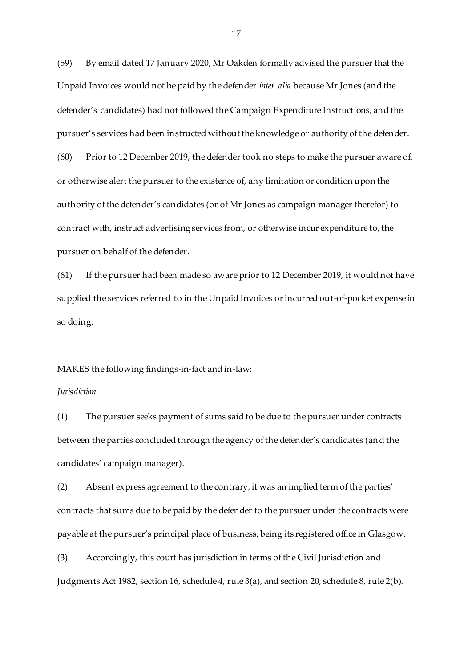(59) By email dated 17 January 2020, Mr Oakden formally advised the pursuer that the Unpaid Invoices would not be paid by the defender *inter alia* because Mr Jones (and the defender's candidates) had not followed the Campaign Expenditure Instructions, and the pursuer's services had been instructed without the knowledge or authority of the defender. (60) Prior to 12 December 2019, the defender took no steps to make the pursuer aware of, or otherwise alert the pursuer to the existence of, any limitation or condition upon the authority of the defender's candidates (or of Mr Jones as campaign manager therefor) to contract with, instruct advertising services from, or otherwise incur expenditure to, the pursuer on behalf of the defender.

(61) If the pursuer had been made so aware prior to 12 December 2019, it would not have supplied the services referred to in the Unpaid Invoices or incurred out-of-pocket expense in so doing.

### MAKES the following findings-in-fact and in-law:

#### *Jurisdiction*

(1) The pursuer seeks payment of sums said to be due to the pursuer under contracts between the parties concluded through the agency of the defender's candidates (and the candidates' campaign manager).

(2) Absent express agreement to the contrary, it was an implied term of the parties' contracts that sums due to be paid by the defender to the pursuer under the contracts were payable at the pursuer's principal place of business, being its registered office in Glasgow.

(3) Accordingly, this court has jurisdiction in terms of the Civil Jurisdiction and Judgments Act 1982, section 16, schedule 4, rule 3(a), and section 20, schedule 8, rule 2(b).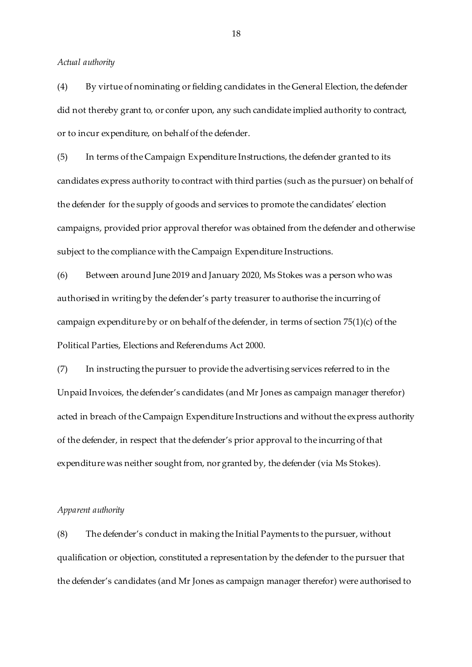*Actual authority* 

(4) By virtue of nominating or fielding candidates in the General Election, the defender did not thereby grant to, or confer upon, any such candidate implied authority to contract, or to incur expenditure, on behalf of the defender.

(5) In terms of the Campaign Expenditure Instructions, the defender granted to its candidates express authority to contract with third parties (such as the pursuer) on behalf of the defender for the supply of goods and services to promote the candidates' election campaigns, provided prior approval therefor was obtained from the defender and otherwise subject to the compliance with the Campaign Expenditure Instructions.

(6) Between around June 2019 and January 2020, Ms Stokes was a person who was authorised in writing by the defender's party treasurer to authorise the incurring of campaign expenditure by or on behalf of the defender, in terms of section 75(1)(c) of the Political Parties, Elections and Referendums Act 2000.

(7) In instructing the pursuer to provide the advertising services referred to in the Unpaid Invoices, the defender's candidates (and Mr Jones as campaign manager therefor) acted in breach of the Campaign Expenditure Instructions and without the express authority of the defender, in respect that the defender's prior approval to the incurring of that expenditure was neither sought from, nor granted by, the defender (via Ms Stokes).

#### *Apparent authority*

(8) The defender's conduct in making the Initial Payments to the pursuer, without qualification or objection, constituted a representation by the defender to the pursuer that the defender's candidates (and Mr Jones as campaign manager therefor) were authorised to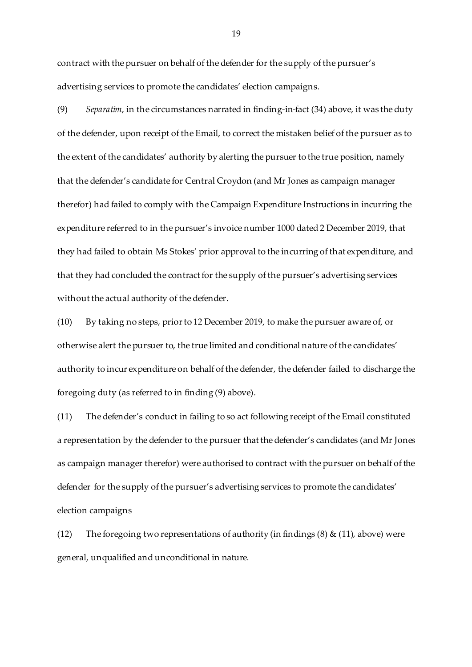contract with the pursuer on behalf of the defender for the supply of the pursuer's advertising services to promote the candidates' election campaigns.

(9) *Separatim*, in the circumstances narrated in finding-in-fact (34) above, it was the duty of the defender, upon receipt of the Email, to correct the mistaken belief of the pursuer as to the extent of the candidates' authority by alerting the pursuer to the true position, namely that the defender's candidate for Central Croydon (and Mr Jones as campaign manager therefor) had failed to comply with the Campaign Expenditure Instructions in incurring the expenditure referred to in the pursuer's invoice number 1000 dated 2 December 2019, that they had failed to obtain Ms Stokes' prior approval to the incurring of that expenditure, and that they had concluded the contract for the supply of the pursuer's advertising services without the actual authority of the defender.

(10) By taking no steps, prior to 12 December 2019, to make the pursuer aware of, or otherwise alert the pursuer to, the true limited and conditional nature of the candidates' authority to incur expenditure on behalf of the defender, the defender failed to discharge the foregoing duty (as referred to in finding (9) above).

(11) The defender's conduct in failing to so act following receipt of the Email constituted a representation by the defender to the pursuer that the defender's candidates (and Mr Jones as campaign manager therefor) were authorised to contract with the pursuer on behalf of the defender for the supply of the pursuer's advertising services to promote the candidates' election campaigns

(12) The foregoing two representations of authority (in findings  $(8)$  &  $(11)$ , above) were general, unqualified and unconditional in nature.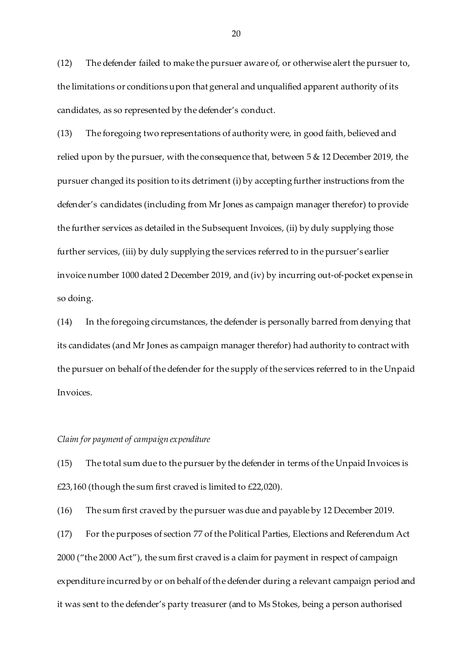(12) The defender failed to make the pursuer aware of, or otherwise alert the pursuer to, the limitations or conditions upon that general and unqualified apparent authority of its candidates, as so represented by the defender's conduct.

(13) The foregoing two representations of authority were, in good faith, believed and relied upon by the pursuer, with the consequence that, between 5 & 12 December 2019, the pursuer changed its position to its detriment (i) by accepting further instructions from the defender's candidates (including from Mr Jones as campaign manager therefor) to provide the further services as detailed in the Subsequent Invoices, (ii) by duly supplying those further services, (iii) by duly supplying the services referred to in the pursuer's earlier invoice number 1000 dated 2 December 2019, and (iv) by incurring out-of-pocket expense in so doing.

(14) In the foregoing circumstances, the defender is personally barred from denying that its candidates (and Mr Jones as campaign manager therefor) had authority to contract with the pursuer on behalf of the defender for the supply of the services referred to in the Unpaid Invoices.

#### *Claim for payment of campaign expenditure*

(15) The total sum due to the pursuer by the defender in terms of the Unpaid Invoices is  $£23,160$  (though the sum first craved is limited to  $£22,020$ ).

(16) The sum first craved by the pursuer was due and payable by 12 December 2019.

(17) For the purposes of section 77 of the Political Parties, Elections and Referendum Act 2000 ("the 2000 Act"), the sum first craved is a claim for payment in respect of campaign expenditure incurred by or on behalf of the defender during a relevant campaign period and it was sent to the defender's party treasurer (and to Ms Stokes, being a person authorised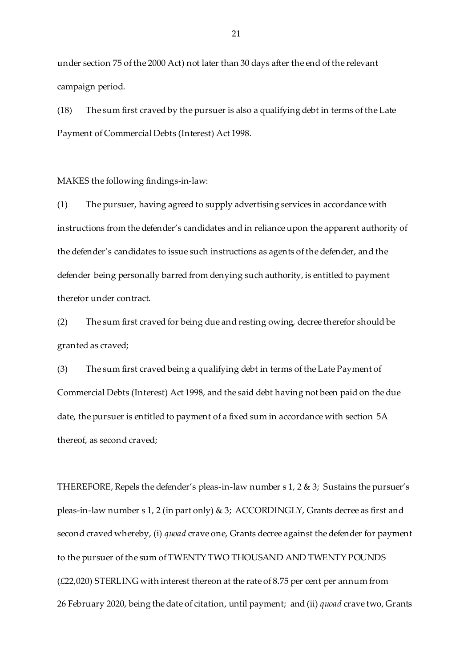under section 75 of the 2000 Act) not later than 30 days after the end of the relevant campaign period.

(18) The sum first craved by the pursuer is also a qualifying debt in terms of the Late Payment of Commercial Debts (Interest) Act 1998.

MAKES the following findings-in-law:

(1) The pursuer, having agreed to supply advertising services in accordance with instructions from the defender's candidates and in reliance upon the apparent authority of the defender's candidates to issue such instructions as agents of the defender, and the defender being personally barred from denying such authority, is entitled to payment therefor under contract.

(2) The sum first craved for being due and resting owing, decree therefor should be granted as craved;

(3) The sum first craved being a qualifying debt in terms of the Late Payment of Commercial Debts (Interest) Act 1998, and the said debt having not been paid on the due date, the pursuer is entitled to payment of a fixed sum in accordance with section 5A thereof, as second craved;

THEREFORE, Repels the defender's pleas-in-law number  $s$  1, 2  $\&$  3; Sustains the pursuer's pleas-in-law number s 1, 2 (in part only) & 3; ACCORDINGLY, Grants decree as first and second craved whereby, (i) *quoad* crave one, Grants decree against the defender for payment to the pursuer of the sum of TWENTY TWO THOUSAND AND TWENTY POUNDS (£22,020) STERLING with interest thereon at the rate of 8.75 per cent per annum from 26 February 2020, being the date of citation, until payment; and (ii) *quoad* crave two, Grants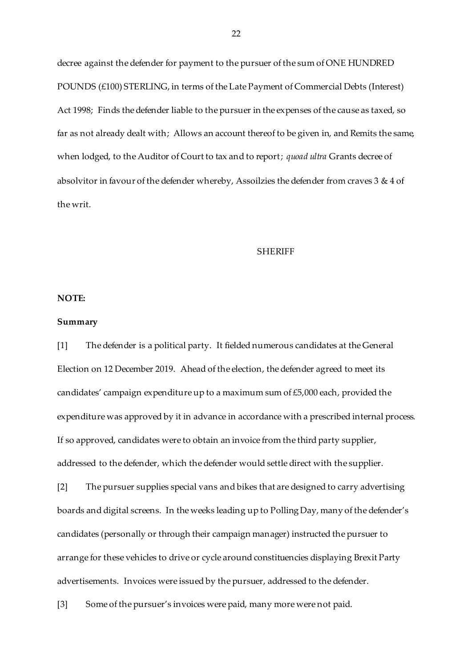decree against the defender for payment to the pursuer of the sum of ONE HUNDRED POUNDS (£100) STERLING, in terms of the Late Payment of Commercial Debts (Interest) Act 1998; Finds the defender liable to the pursuer in the expenses of the cause as taxed, so far as not already dealt with; Allows an account thereof to be given in, and Remits the same, when lodged, to the Auditor of Court to tax and to report; *quoad ultra* Grants decree of absolvitor in favour of the defender whereby, Assoilzies the defender from craves 3 & 4 of the writ.

### **SHERIFF**

### **NOTE:**

#### **Summary**

[1] The defender is a political party. It fielded numerous candidates at the General Election on 12 December 2019. Ahead of the election, the defender agreed to meet its candidates' campaign expenditure up to a maximum sum of £5,000 each, provided the expenditure was approved by it in advance in accordance with a prescribed internal process. If so approved, candidates were to obtain an invoice from the third party supplier, addressed to the defender, which the defender would settle direct with the supplier.

[2] The pursuer supplies special vans and bikes that are designed to carry advertising boards and digital screens. In the weeks leading up to Polling Day, many of the defender's candidates (personally or through their campaign manager) instructed the pursuer to arrange for these vehicles to drive or cycle around constituencies displaying Brexit Party advertisements. Invoices were issued by the pursuer, addressed to the defender.

[3] Some of the pursuer's invoices were paid, many more were not paid.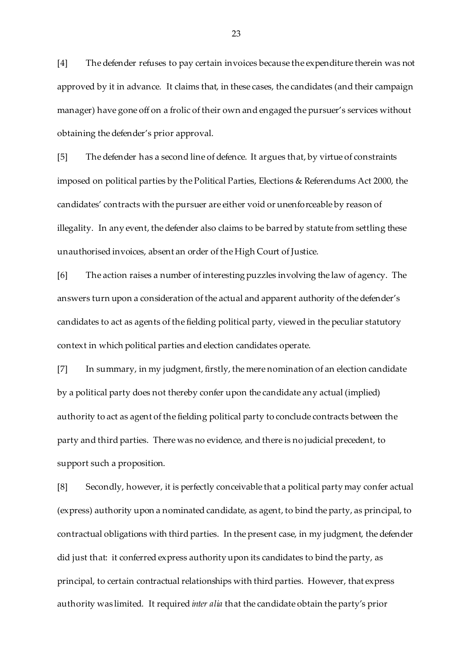[4] The defender refuses to pay certain invoices because the expenditure therein was not approved by it in advance. It claims that, in these cases, the candidates (and their campaign manager) have gone off on a frolic of their own and engaged the pursuer's services without obtaining the defender's prior approval.

[5] The defender has a second line of defence. It argues that, by virtue of constraints imposed on political parties by the Political Parties, Elections & Referendums Act 2000, the candidates' contracts with the pursuer are either void or unenforceable by reason of illegality. In any event, the defender also claims to be barred by statute from settling these unauthorised invoices, absent an order of the High Court of Justice.

[6] The action raises a number of interesting puzzles involving the law of agency. The answers turn upon a consideration of the actual and apparent authority of the defender's candidates to act as agents of the fielding political party, viewed in the peculiar statutory context in which political parties and election candidates operate.

[7] In summary, in my judgment, firstly, the mere nomination of an election candidate by a political party does not thereby confer upon the candidate any actual (implied) authority to act as agent of the fielding political party to conclude contracts between the party and third parties. There was no evidence, and there is no judicial precedent, to support such a proposition.

[8] Secondly, however, it is perfectly conceivable that a political party may confer actual (express) authority upon a nominated candidate, as agent, to bind the party, as principal, to contractual obligations with third parties. In the present case, in my judgment, the defender did just that: it conferred express authority upon its candidates to bind the party, as principal, to certain contractual relationships with third parties. However, that express authority was limited. It required *inter alia* that the candidate obtain the party's prior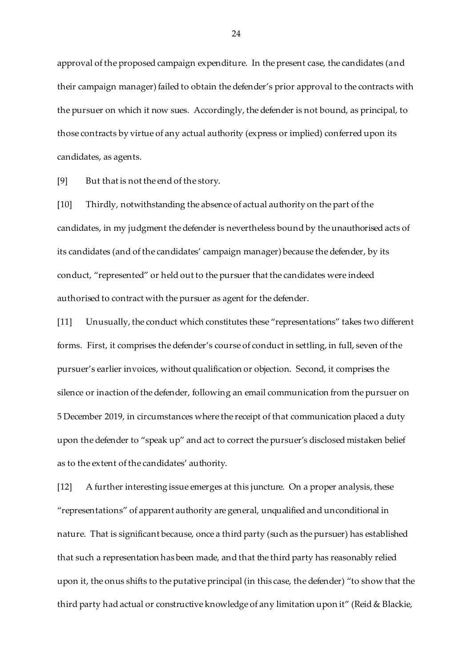approval of the proposed campaign expenditure. In the present case, the candidates (and their campaign manager) failed to obtain the defender's prior approval to the contracts with the pursuer on which it now sues. Accordingly, the defender is not bound, as principal, to those contracts by virtue of any actual authority (express or implied) conferred upon its candidates, as agents.

[9] But that is not the end of the story.

[10] Thirdly, notwithstanding the absence of actual authority on the part of the candidates, in my judgment the defender is nevertheless bound by the unauthorised acts of its candidates (and of the candidates' campaign manager) because the defender, by its conduct, "represented" or held out to the pursuer that the candidates were indeed authorised to contract with the pursuer as agent for the defender.

[11] Unusually, the conduct which constitutes these "representations" takes two different forms. First, it comprises the defender's course of conduct in settling, in full, seven of the pursuer's earlier invoices, without qualification or objection. Second, it comprises the silence or inaction of the defender, following an email communication from the pursuer on 5 December 2019, in circumstances where the receipt of that communication placed a duty upon the defender to "speak up" and act to correct the pursuer's disclosed mistaken belief as to the extent of the candidates' authority.

[12] A further interesting issue emerges at this juncture. On a proper analysis, these "representations" of apparent authority are general, unqualified and unconditional in nature. That is significant because, once a third party (such as the pursuer) has established that such a representation has been made, and that the third party has reasonably relied upon it, the onus shifts to the putative principal (in this case, the defender) "to show that the third party had actual or constructive knowledge of any limitation upon it" (Reid & Blackie,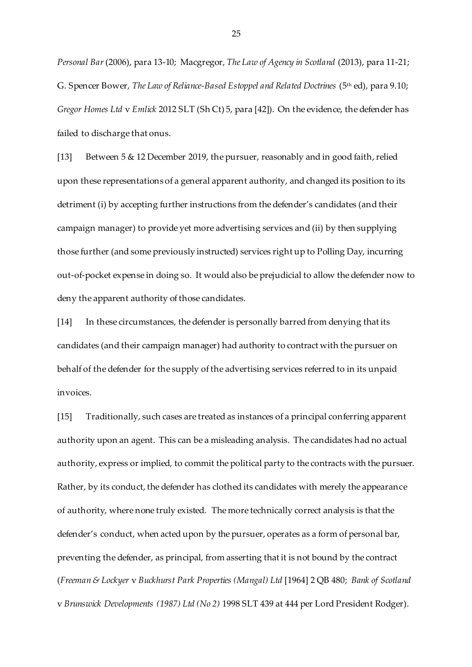*Personal Bar*(2006), para 13-10; Macgregor, *The Law of Agency in Scotland* (2013), para 11-21; G. Spencer Bower, *The Law of Reliance-Based Estoppel and Related Doctrines* (5<sup>th</sup> ed), para 9.10; *Gregor Homes Ltd* v *Emlick* 2012 SLT (Sh Ct) 5, para [42]). On the evidence, the defender has failed to discharge that onus.

[13] Between 5 & 12 December 2019, the pursuer, reasonably and in good faith, relied upon these representations of a general apparent authority, and changed its position to its detriment (i) by accepting further instructions from the defender's candidates (and their campaign manager) to provide yet more advertising services and (ii) by then supplying those further (and some previously instructed) services right up to Polling Day, incurring out-of-pocket expense in doing so. It would also be prejudicial to allow the defender now to deny the apparent authority of those candidates.

[14] In these circumstances, the defender is personally barred from denying that its candidates (and their campaign manager) had authority to contract with the pursuer on behalf of the defender for the supply of the advertising services referred to in its unpaid invoices.

[15] Traditionally, such cases are treated as instances of a principal conferring apparent authority upon an agent. This can be a misleading analysis. The candidates had no actual authority, express or implied, to commit the political party to the contracts with the pursuer. Rather, by its conduct, the defender has clothed its candidates with merely the appearance of authority, where none truly existed. The more technically correct analysis is that the defender's conduct, when acted upon by the pursuer, operates as a form of personal bar, preventing the defender, as principal, from asserting that it is not bound by the contract (*Freeman & Lockyer* v *Buckhurst Park Properties (Mangal) Ltd* [1964] 2 QB 480; *Bank of Scotland* v *Brunswick Developments (1987) Ltd (No 2)* 1998 SLT 439 at 444 per Lord President Rodger).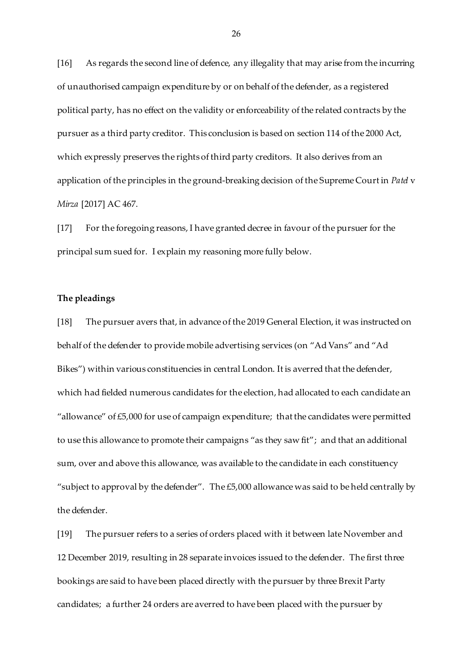[16] As regards the second line of defence, any illegality that may arise from the incurring of unauthorised campaign expenditure by or on behalf of the defender, as a registered political party, has no effect on the validity or enforceability of the related contracts by the pursuer as a third party creditor. This conclusion is based on section 114 of the 2000 Act, which expressly preserves the rights of third party creditors. It also derives from an application of the principles in the ground-breaking decision of the Supreme Court in *Patel* v *Mirza* [2017] AC 467.

[17] For the foregoing reasons, I have granted decree in favour of the pursuer for the principal sum sued for. I explain my reasoning more fully below.

## **The pleadings**

[18] The pursuer avers that, in advance of the 2019 General Election, it was instructed on behalf of the defender to provide mobile advertising services (on "Ad Vans" and "Ad Bikes") within various constituencies in central London. It is averred that the defender, which had fielded numerous candidates for the election, had allocated to each candidate an "allowance" of £5,000 for use of campaign expenditure; that the candidates were permitted to use this allowance to promote their campaigns "as they saw fit"; and that an additional sum, over and above this allowance, was available to the candidate in each constituency "subject to approval by the defender". The £5,000 allowance was said to be held centrally by the defender.

[19] The pursuer refers to a series of orders placed with it between late November and 12 December 2019, resulting in 28 separate invoices issued to the defender. The first three bookings are said to have been placed directly with the pursuer by three Brexit Party candidates; a further 24 orders are averred to have been placed with the pursuer by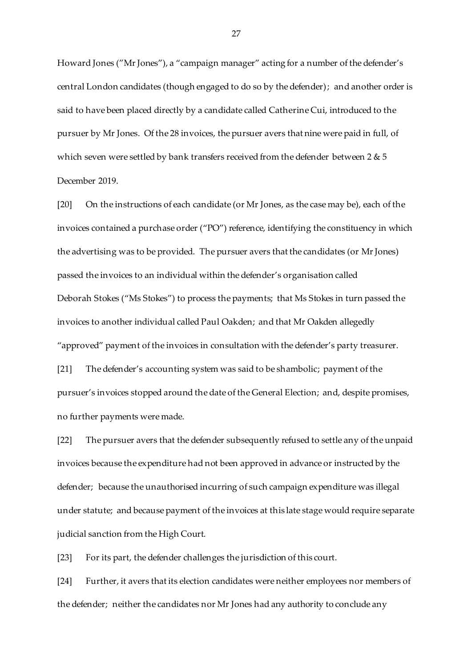Howard Jones ("MrJones"), a "campaign manager" acting for a number of the defender's central London candidates (though engaged to do so by the defender); and another order is said to have been placed directly by a candidate called Catherine Cui, introduced to the pursuer by Mr Jones. Of the 28 invoices, the pursuer avers that nine were paid in full, of which seven were settled by bank transfers received from the defender between 2 & 5 December 2019.

[20] On the instructions of each candidate (or Mr Jones, as the case may be), each of the invoices contained a purchase order ("PO") reference, identifying the constituency in which the advertising was to be provided. The pursuer avers that the candidates (or MrJones) passed the invoices to an individual within the defender's organisation called Deborah Stokes ("Ms Stokes") to process the payments; that Ms Stokes in turn passed the invoices to another individual called Paul Oakden; and that Mr Oakden allegedly "approved" payment of the invoices in consultation with the defender's party treasurer. [21] The defender's accounting system was said to be shambolic; payment of the pursuer's invoices stopped around the date of the General Election; and, despite promises, no further payments were made.

[22] The pursuer avers that the defender subsequently refused to settle any of the unpaid invoices because the expenditure had not been approved in advance or instructed by the defender; because the unauthorised incurring of such campaign expenditure was illegal under statute; and because payment of the invoices at this late stage would require separate judicial sanction from the High Court.

[23] For its part, the defender challenges the jurisdiction of this court.

[24] Further, it avers that its election candidates were neither employees nor members of the defender; neither the candidates nor Mr Jones had any authority to conclude any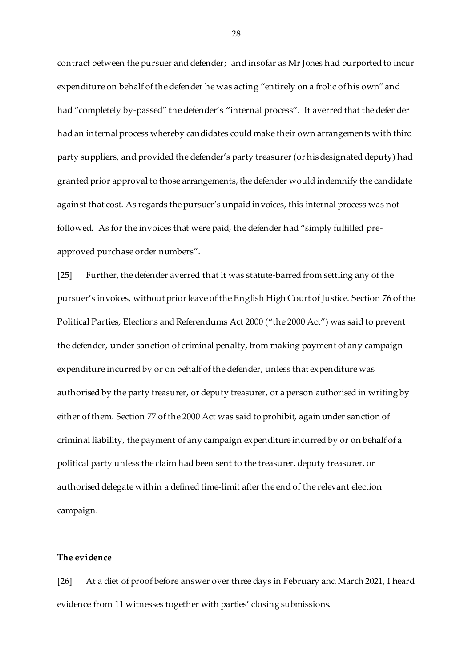contract between the pursuer and defender; and insofar as Mr Jones had purported to incur expenditure on behalf of the defender he was acting "entirely on a frolic of his own" and had "completely by-passed" the defender's "internal process". It averred that the defender had an internal process whereby candidates could make their own arrangements with third party suppliers, and provided the defender's party treasurer (or his designated deputy) had granted prior approval to those arrangements, the defender would indemnify the candidate against that cost. As regards the pursuer's unpaid invoices, this internal process was not followed. As for the invoices that were paid, the defender had "simply fulfilled preapproved purchase order numbers".

[25] Further, the defender averred that it was statute-barred from settling any of the pursuer's invoices, without prior leave of the English High Court of Justice. Section 76 of the Political Parties, Elections and Referendums Act 2000 ("the 2000 Act") was said to prevent the defender, under sanction of criminal penalty, from making payment of any campaign expenditure incurred by or on behalf of the defender, unless that expenditure was authorised by the party treasurer, or deputy treasurer, or a person authorised in writing by either of them. Section 77 of the 2000 Act was said to prohibit, again under sanction of criminal liability, the payment of any campaign expenditure incurred by or on behalf of a political party unless the claim had been sent to the treasurer, deputy treasurer, or authorised delegate within a defined time-limit after the end of the relevant election campaign.

## **The evidence**

[26] At a diet of proof before answer over three days in February and March 2021, I heard evidence from 11 witnesses together with parties' closing submissions.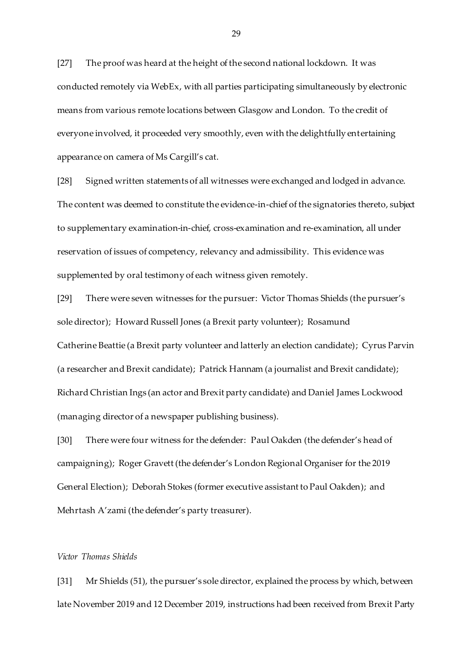[27] The proof was heard at the height of the second national lockdown. It was conducted remotely via WebEx, with all parties participating simultaneously by electronic means from various remote locations between Glasgow and London. To the credit of everyone involved, it proceeded very smoothly, even with the delightfully entertaining appearance on camera of Ms Cargill's cat.

[28] Signed written statements of all witnesses were exchanged and lodged in advance. The content was deemed to constitute the evidence-in-chief of the signatories thereto, subject to supplementary examination-in-chief, cross-examination and re-examination, all under reservation of issues of competency, relevancy and admissibility. This evidence was supplemented by oral testimony of each witness given remotely.

[29] There were seven witnesses for the pursuer: Victor Thomas Shields (the pursuer's sole director); Howard Russell Jones (a Brexit party volunteer); Rosamund Catherine Beattie (a Brexit party volunteer and latterly an election candidate); Cyrus Parvin (a researcher and Brexit candidate); Patrick Hannam (a journalist and Brexit candidate); Richard Christian Ings (an actor and Brexit party candidate) and Daniel James Lockwood (managing director of a newspaper publishing business).

[30] There were four witness for the defender: Paul Oakden (the defender's head of campaigning); Roger Gravett (the defender's London Regional Organiser for the 2019 General Election); Deborah Stokes (former executive assistant to Paul Oakden); and Mehrtash A'zami (the defender's party treasurer).

### *Victor Thomas Shields*

[31] Mr Shields (51), the pursuer's sole director, explained the process by which, between late November 2019 and 12 December 2019, instructions had been received from Brexit Party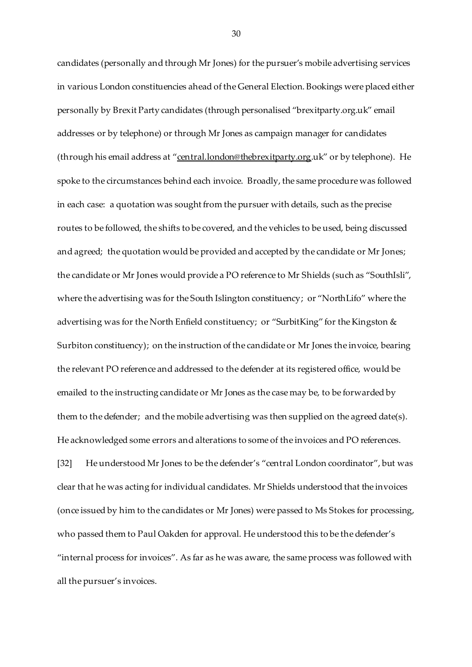candidates (personally and through Mr Jones) for the pursuer's mobile advertising services in various London constituencies ahead of the General Election. Bookings were placed either personally by Brexit Party candidates (through personalised "brexitparty.org.uk" email addresses or by telephone) or through Mr Jones as campaign manager for candidates (through his email address at "[central.london@thebrexitparty.org](mailto:central.london@thebrexitparty.org).uk" or by telephone). He spoke to the circumstances behind each invoice. Broadly, the same procedure was followed in each case: a quotation was sought from the pursuer with details, such as the precise routes to be followed, the shifts to be covered, and the vehicles to be used, being discussed and agreed; the quotation would be provided and accepted by the candidate or Mr Jones; the candidate or Mr Jones would provide a PO reference to Mr Shields (such as "SouthIsli", where the advertising was for the South Islington constituency; or "NorthLifo" where the advertising was for the North Enfield constituency; or "SurbitKing" for the Kingston & Surbiton constituency); on the instruction of the candidate or Mr Jones the invoice, bearing the relevant PO reference and addressed to the defender at its registered office, would be emailed to the instructing candidate or Mr Jones as the case may be, to be forwarded by them to the defender; and the mobile advertising was then supplied on the agreed date(s). He acknowledged some errors and alterations to some of the invoices and PO references. [32] He understood Mr Jones to be the defender's "central London coordinator", but was

clear that he was acting for individual candidates. Mr Shields understood that the invoices (once issued by him to the candidates or Mr Jones) were passed to Ms Stokes for processing, who passed them to Paul Oakden for approval. He understood this to be the defender's "internal process for invoices". As far as he was aware, the same process was followed with all the pursuer's invoices.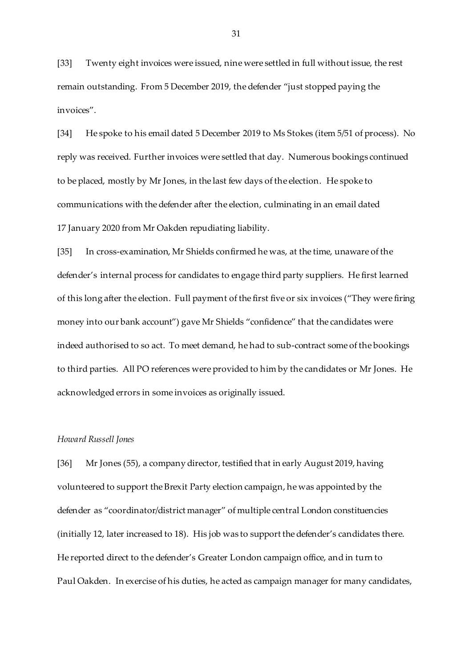[33] Twenty eight invoices were issued, nine were settled in full without issue, the rest remain outstanding. From 5 December 2019, the defender "just stopped paying the invoices".

[34] He spoke to his email dated 5 December 2019 to Ms Stokes (item 5/51 of process). No reply was received. Further invoices were settled that day. Numerous bookings continued to be placed, mostly by Mr Jones, in the last few days of the election. He spoke to communications with the defender after the election, culminating in an email dated 17 January 2020 from Mr Oakden repudiating liability.

[35] In cross-examination, Mr Shields confirmed he was, at the time, unaware of the defender's internal process for candidates to engage third party suppliers. He first learned of this long after the election. Full payment of the first five or six invoices ("They were firing money into our bank account") gave Mr Shields "confidence" that the candidates were indeed authorised to so act. To meet demand, he had to sub-contract some of the bookings to third parties. All PO references were provided to him by the candidates or Mr Jones. He acknowledged errors in some invoices as originally issued.

## *Howard Russell Jones*

[36] Mr Jones (55), a company director, testified that in early August 2019, having volunteered to support the Brexit Party election campaign, he was appointed by the defender as "coordinator/district manager" of multiple central London constituencies (initially 12, later increased to 18). His job was to support the defender's candidates there. He reported direct to the defender's Greater London campaign office, and in turn to Paul Oakden. In exercise of his duties, he acted as campaign manager for many candidates,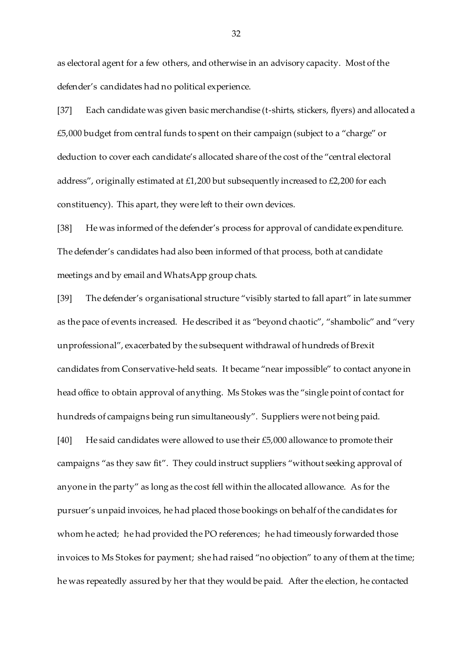as electoral agent for a few others, and otherwise in an advisory capacity. Most of the defender's candidates had no political experience.

[37] Each candidate was given basic merchandise (t-shirts, stickers, flyers) and allocated a £5,000 budget from central funds to spent on their campaign (subject to a "charge" or deduction to cover each candidate's allocated share of the cost of the "central electoral address", originally estimated at £1,200 but subsequently increased to £2,200 for each constituency). This apart, they were left to their own devices.

[38] He was informed of the defender's process for approval of candidate expenditure. The defender's candidates had also been informed of that process, both at candidate meetings and by email and WhatsApp group chats.

[39] The defender's organisational structure "visibly started to fall apart" in late summer as the pace of events increased. He described it as "beyond chaotic", "shambolic" and "very unprofessional", exacerbated by the subsequent withdrawal of hundreds of Brexit candidates from Conservative-held seats. It became "near impossible" to contact anyone in head office to obtain approval of anything. Ms Stokes was the "single point of contact for hundreds of campaigns being run simultaneously". Suppliers were not being paid. [40] He said candidates were allowed to use their £5,000 allowance to promote their campaigns "as they saw fit". They could instruct suppliers "without seeking approval of anyone in the party" as long as the cost fell within the allocated allowance. As for the pursuer's unpaid invoices, he had placed those bookings on behalf of the candidates for whom he acted; he had provided the PO references; he had timeously forwarded those

invoices to Ms Stokes for payment; she had raised "no objection" to any of them at the time; he was repeatedly assured by her that they would be paid. After the election, he contacted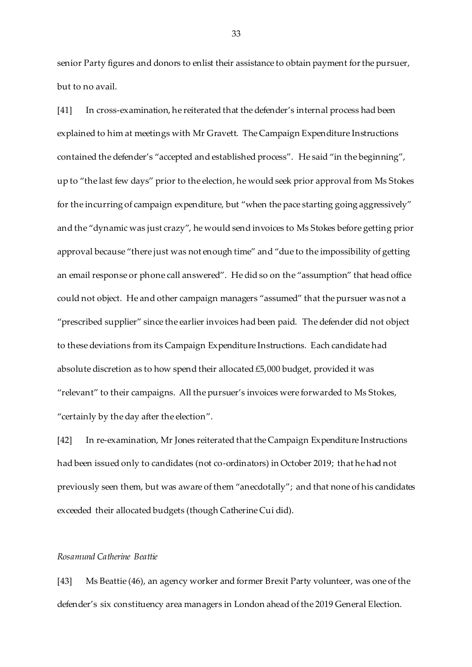senior Party figures and donors to enlist their assistance to obtain payment for the pursuer, but to no avail.

[41] In cross-examination, he reiterated that the defender's internal process had been explained to him at meetings with Mr Gravett. The Campaign Expenditure Instructions contained the defender's "accepted and established process". He said "in the beginning", up to "the last few days" prior to the election, he would seek prior approval from Ms Stokes for the incurring of campaign expenditure, but "when the pace starting going aggressively" and the "dynamic was just crazy", he would send invoices to Ms Stokes before getting prior approval because "there just was not enough time" and "due to the impossibility of getting an email response or phone call answered". He did so on the "assumption" that head office could not object. He and other campaign managers "assumed" that the pursuer was not a "prescribed supplier" since the earlier invoices had been paid. The defender did not object to these deviations from its Campaign Expenditure Instructions. Each candidate had absolute discretion as to how spend their allocated £5,000 budget, provided it was "relevant" to their campaigns. All the pursuer's invoices were forwarded to Ms Stokes, "certainly by the day after the election".

[42] In re-examination, Mr Jones reiterated that the Campaign Expenditure Instructions had been issued only to candidates (not co-ordinators) in October 2019; that he had not previously seen them, but was aware of them "anecdotally"; and that none of his candidates exceeded their allocated budgets (though Catherine Cui did).

## *Rosamund Catherine Beattie*

[43] Ms Beattie (46), an agency worker and former Brexit Party volunteer, was one of the defender's six constituency area managers in London ahead of the 2019 General Election.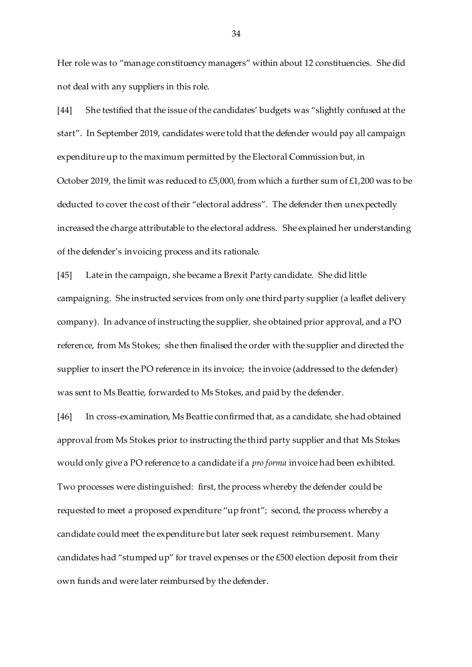Her role was to "manage constituency managers" within about 12 constituencies. She did not deal with any suppliers in this role.

[44] She testified that the issue of the candidates' budgets was "slightly confused at the start". In September 2019, candidates were told that the defender would pay all campaign expenditure up to the maximum permitted by the Electoral Commission but, in October 2019, the limit was reduced to £5,000, from which a further sum of £1,200 was to be deducted to cover the cost of their "electoral address". The defender then unexpectedly increased the charge attributable to the electoral address. She explained her understanding of the defender's invoicing process and its rationale.

[45] Late in the campaign, she became a Brexit Party candidate. She did little campaigning. She instructed services from only one third party supplier (a leaflet delivery company). In advance of instructing the supplier, she obtained prior approval, and a PO reference, from Ms Stokes; she then finalised the order with the supplier and directed the supplier to insert the PO reference in its invoice; the invoice (addressed to the defender) was sent to Ms Beattie, forwarded to Ms Stokes, and paid by the defender.

[46] In cross-examination, Ms Beattie confirmed that, as a candidate, she had obtained approval from Ms Stokes prior to instructing the third party supplier and that Ms Stokes would only give a PO reference to a candidate if a *pro forma* invoice had been exhibited. Two processes were distinguished: first, the process whereby the defender could be requested to meet a proposed expenditure "up front"; second, the process whereby a candidate could meet the expenditure but later seek request reimbursement. Many candidates had "stumped up" for travel expenses or the £500 election deposit from their own funds and were later reimbursed by the defender.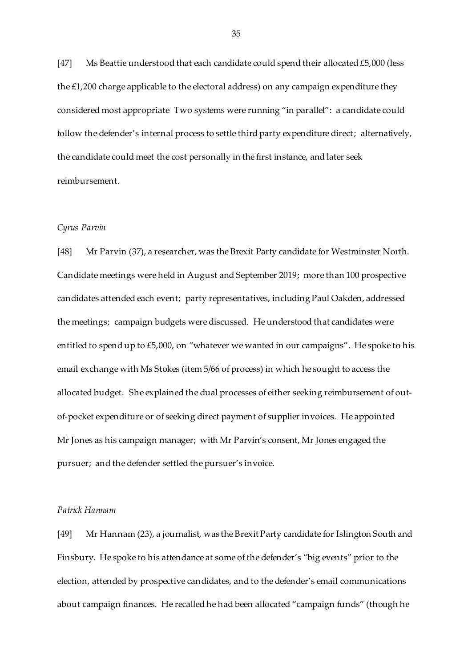[47] Ms Beattie understood that each candidate could spend their allocated £5,000 (less the £1,200 charge applicable to the electoral address) on any campaign expenditure they considered most appropriate Two systems were running "in parallel": a candidate could follow the defender's internal process to settle third party expenditure direct; alternatively, the candidate could meet the cost personally in the first instance, and later seek reimbursement.

### *Cyrus Parvin*

[48] Mr Parvin (37), a researcher, was the Brexit Party candidate for Westminster North. Candidate meetings were held in August and September 2019; more than 100 prospective candidates attended each event; party representatives, including Paul Oakden, addressed the meetings; campaign budgets were discussed. He understood that candidates were entitled to spend up to £5,000, on "whatever we wanted in our campaigns". He spoke to his email exchange with Ms Stokes (item 5/66 of process) in which he sought to access the allocated budget. She explained the dual processes of either seeking reimbursement of outof-pocket expenditure or of seeking direct payment of supplier invoices. He appointed Mr Jones as his campaign manager; with Mr Parvin's consent, Mr Jones engaged the pursuer; and the defender settled the pursuer's invoice.

### *Patrick Hannam*

[49] Mr Hannam (23), a journalist, was the Brexit Party candidate for Islington South and Finsbury. He spoke to his attendance at some of the defender's "big events" prior to the election, attended by prospective candidates, and to the defender's email communications about campaign finances. He recalled he had been allocated "campaign funds" (though he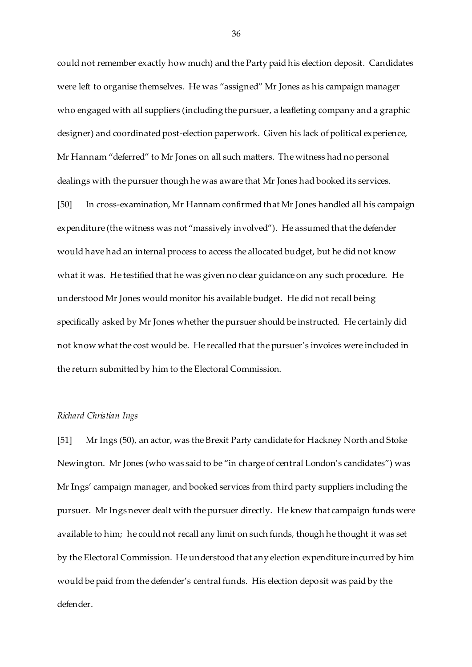could not remember exactly how much) and the Party paid his election deposit. Candidates were left to organise themselves. He was "assigned" Mr Jones as his campaign manager who engaged with all suppliers (including the pursuer, a leafleting company and a graphic designer) and coordinated post-election paperwork. Given his lack of political experience, Mr Hannam "deferred" to Mr Jones on all such matters. The witness had no personal dealings with the pursuer though he was aware that Mr Jones had booked its services.

[50] In cross-examination, Mr Hannam confirmed that Mr Jones handled all his campaign expenditure (the witness was not "massively involved"). He assumed that the defender would have had an internal process to access the allocated budget, but he did not know what it was. He testified that he was given no clear guidance on any such procedure. He understood Mr Jones would monitor his available budget. He did not recall being specifically asked by Mr Jones whether the pursuer should be instructed. He certainly did not know what the cost would be. He recalled that the pursuer's invoices were included in the return submitted by him to the Electoral Commission.

#### *Richard Christian Ings*

[51] Mr Ings (50), an actor, was the Brexit Party candidate for Hackney North and Stoke Newington. Mr Jones (who was said to be "in charge of central London's candidates") was Mr Ings' campaign manager, and booked services from third party suppliers including the pursuer. Mr Ings never dealt with the pursuer directly. He knew that campaign funds were available to him; he could not recall any limit on such funds, though he thought it was set by the Electoral Commission. He understood that any election expenditure incurred by him would be paid from the defender's central funds. His election deposit was paid by the defender.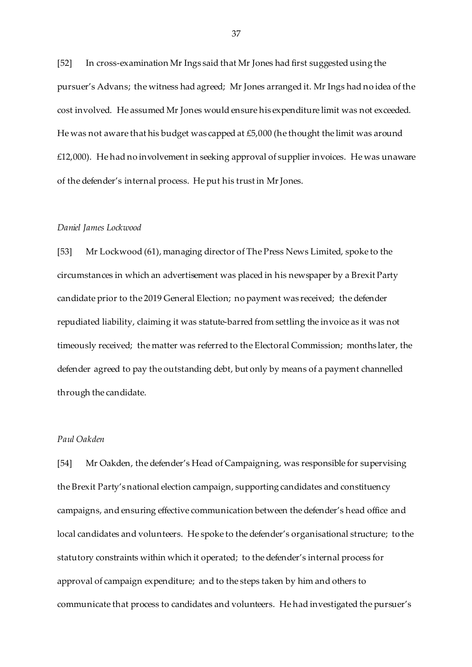[52] In cross-examination Mr Ings said that Mr Jones had first suggested using the pursuer's Advans; the witness had agreed; Mr Jones arranged it. Mr Ings had no idea of the cost involved. He assumed Mr Jones would ensure his expenditure limit was not exceeded. He was not aware that his budget was capped at £5,000 (he thought the limit was around £12,000). He had no involvement in seeking approval of supplier invoices. He was unaware of the defender's internal process. He put his trust in MrJones.

#### *Daniel James Lockwood*

[53] Mr Lockwood (61), managing director of The Press News Limited, spoke to the circumstances in which an advertisement was placed in his newspaper by a Brexit Party candidate prior to the 2019 General Election; no payment was received; the defender repudiated liability, claiming it was statute-barred from settling the invoice as it was not timeously received; the matter was referred to the Electoral Commission; months later, the defender agreed to pay the outstanding debt, but only by means of a payment channelled through the candidate.

# *Paul Oakden*

[54] Mr Oakden, the defender's Head of Campaigning, was responsible for supervising the Brexit Party's national election campaign, supporting candidates and constituency campaigns, and ensuring effective communication between the defender's head office and local candidates and volunteers. He spoke to the defender's organisational structure; to the statutory constraints within which it operated; to the defender's internal process for approval of campaign expenditure; and to the steps taken by him and others to communicate that process to candidates and volunteers. He had investigated the pursuer's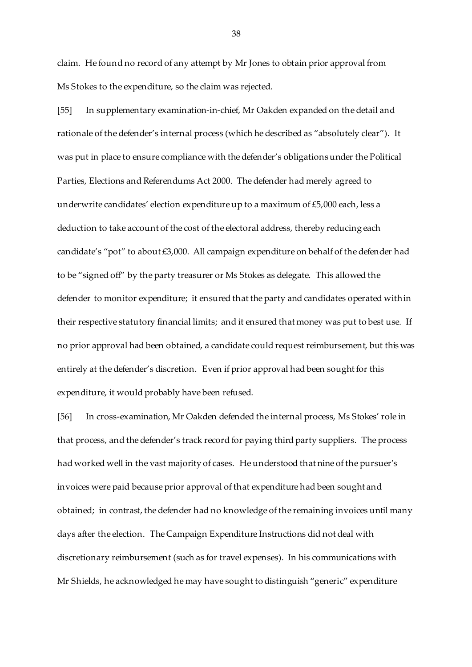claim. He found no record of any attempt by Mr Jones to obtain prior approval from Ms Stokes to the expenditure, so the claim was rejected.

[55] In supplementary examination-in-chief, Mr Oakden expanded on the detail and rationale of the defender's internal process (which he described as "absolutely clear"). It was put in place to ensure compliance with the defender's obligations under the Political Parties, Elections and Referendums Act 2000. The defender had merely agreed to underwrite candidates' election expenditure up to a maximum of £5,000 each, less a deduction to take account of the cost of the electoral address, thereby reducing each candidate's "pot" to about £3,000. All campaign expenditure on behalf of the defender had to be "signed off" by the party treasurer or Ms Stokes as delegate. This allowed the defender to monitor expenditure; it ensured that the party and candidates operated within their respective statutory financial limits; and it ensured that money was put to best use. If no prior approval had been obtained, a candidate could request reimbursement, but this was entirely at the defender's discretion. Even if prior approval had been sought for this expenditure, it would probably have been refused.

[56] In cross-examination, Mr Oakden defended the internal process, Ms Stokes' role in that process, and the defender's track record for paying third party suppliers. The process had worked well in the vast majority of cases. He understood that nine of the pursuer's invoices were paid because prior approval of that expenditure had been sought and obtained; in contrast, the defender had no knowledge of the remaining invoices until many days after the election. The Campaign Expenditure Instructions did not deal with discretionary reimbursement (such as for travel expenses). In his communications with Mr Shields, he acknowledged he may have sought to distinguish "generic" expenditure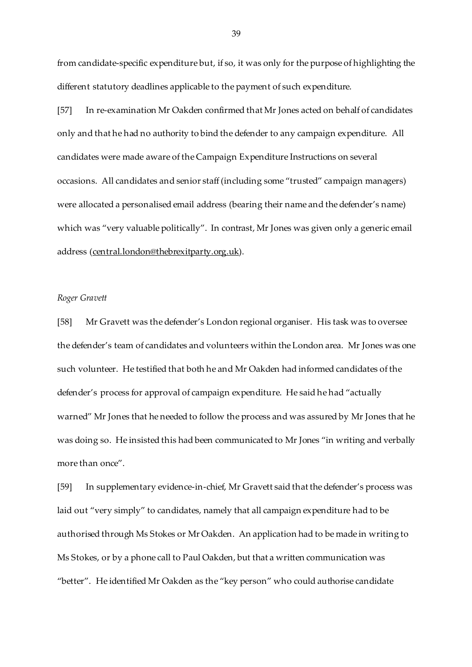from candidate-specific expenditure but, if so, it was only for the purpose of highlighting the different statutory deadlines applicable to the payment of such expenditure.

[57] In re-examination Mr Oakden confirmed that Mr Jones acted on behalf of candidates only and that he had no authority to bind the defender to any campaign expenditure. All candidates were made aware of the Campaign Expenditure Instructions on several occasions. All candidates and senior staff (including some "trusted" campaign managers) were allocated a personalised email address (bearing their name and the defender's name) which was "very valuable politically". In contrast, Mr Jones was given only a generic email address [\(central.london@thebrexitparty.org.uk](mailto:central.london@thebrexitparty.org.uk)).

### *Roger Gravett*

[58] Mr Gravett was the defender's London regional organiser. His task was to oversee the defender's team of candidates and volunteers within the London area. Mr Jones was one such volunteer. He testified that both he and Mr Oakden had informed candidates of the defender's process for approval of campaign expenditure. He said he had "actually warned" Mr Jones that he needed to follow the process and was assured by Mr Jones that he was doing so. He insisted this had been communicated to Mr Jones "in writing and verbally more than once".

[59] In supplementary evidence-in-chief, Mr Gravett said that the defender's process was laid out "very simply" to candidates, namely that all campaign expenditure had to be authorised through Ms Stokes or Mr Oakden. An application had to be made in writing to Ms Stokes, or by a phone call to Paul Oakden, but that a written communication was "better". He identified Mr Oakden as the "key person" who could authorise candidate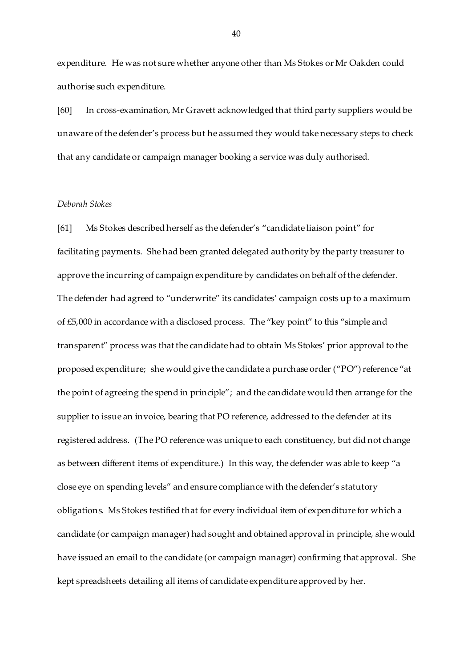expenditure. He was not sure whether anyone other than Ms Stokes or Mr Oakden could authorise such expenditure.

[60] In cross-examination, Mr Gravett acknowledged that third party suppliers would be unaware of the defender's process but he assumed they would take necessary steps to check that any candidate or campaign manager booking a service was duly authorised.

# *Deborah Stokes*

[61] Ms Stokes described herself as the defender's "candidate liaison point" for facilitating payments. She had been granted delegated authority by the party treasurer to approve the incurring of campaign expenditure by candidates on behalf of the defender. The defender had agreed to "underwrite" its candidates' campaign costs up to a maximum of £5,000 in accordance with a disclosed process. The "key point" to this "simple and transparent" process was that the candidate had to obtain Ms Stokes' prior approval to the proposed expenditure; she would give the candidate a purchase order ("PO") reference "at the point of agreeing the spend in principle"; and the candidate would then arrange for the supplier to issue an invoice, bearing that PO reference, addressed to the defender at its registered address. (The PO reference was unique to each constituency, but did not change as between different items of expenditure.) In this way, the defender was able to keep "a close eye on spending levels" and ensure compliance with the defender's statutory obligations. Ms Stokes testified that for every individual item of expenditure for which a candidate (or campaign manager) had sought and obtained approval in principle, she would have issued an email to the candidate (or campaign manager) confirming that approval. She kept spreadsheets detailing all items of candidate expenditure approved by her.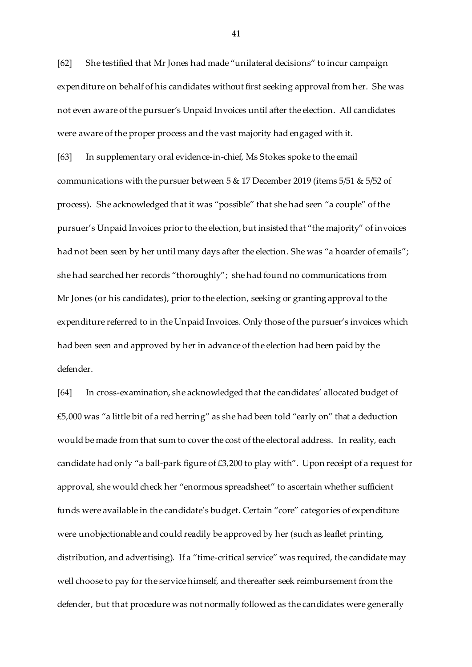[62] She testified that Mr Jones had made "unilateral decisions" to incur campaign expenditure on behalf of his candidates without first seeking approval from her. She was not even aware of the pursuer's Unpaid Invoices until after the election. All candidates were aware of the proper process and the vast majority had engaged with it.

[63] In supplementary oral evidence-in-chief, Ms Stokes spoke to the email communications with the pursuer between 5 & 17 December 2019 (items 5/51 & 5/52 of process). She acknowledged that it was "possible" that she had seen "a couple" of the pursuer's Unpaid Invoices prior to the election, but insisted that "the majority" of invoices had not been seen by her until many days after the election. She was "a hoarder of emails"; she had searched her records "thoroughly"; she had found no communications from Mr Jones (or his candidates), prior to the election, seeking or granting approval to the expenditure referred to in the Unpaid Invoices. Only those of the pursuer's invoices which had been seen and approved by her in advance of the election had been paid by the defender.

[64] In cross-examination, she acknowledged that the candidates' allocated budget of £5,000 was "a little bit of a red herring" as she had been told "early on" that a deduction would be made from that sum to cover the cost of the electoral address. In reality, each candidate had only "a ball-park figure of £3,200 to play with". Upon receipt of a request for approval, she would check her "enormous spreadsheet" to ascertain whether sufficient funds were available in the candidate's budget. Certain "core" categories of expenditure were unobjectionable and could readily be approved by her (such as leaflet printing, distribution, and advertising). If a "time-critical service" was required, the candidate may well choose to pay for the service himself, and thereafter seek reimbursement from the defender, but that procedure was not normally followed as the candidates were generally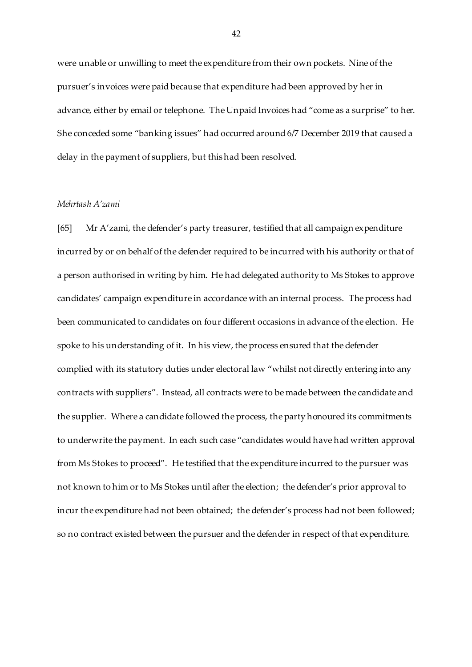were unable or unwilling to meet the expenditure from their own pockets. Nine of the pursuer's invoices were paid because that expenditure had been approved by her in advance, either by email or telephone. The Unpaid Invoices had "come as a surprise" to her. She conceded some "banking issues" had occurred around 6/7 December 2019 that caused a delay in the payment of suppliers, but this had been resolved.

# *Mehrtash A'zami*

[65] Mr A'zami, the defender's party treasurer, testified that all campaign expenditure incurred by or on behalf of the defender required to be incurred with his authority or that of a person authorised in writing by him. He had delegated authority to Ms Stokes to approve candidates' campaign expenditure in accordance with an internal process. The process had been communicated to candidates on four different occasions in advance of the election. He spoke to his understanding of it. In his view, the process ensured that the defender complied with its statutory duties under electoral law "whilst not directly entering into any contracts with suppliers". Instead, all contracts were to be made between the candidate and the supplier. Where a candidate followed the process, the party honoured its commitments to underwrite the payment. In each such case "candidates would have had written approval from Ms Stokes to proceed". He testified that the expenditure incurred to the pursuer was not known to him or to Ms Stokes until after the election; the defender's prior approval to incur the expenditure had not been obtained; the defender's process had not been followed; so no contract existed between the pursuer and the defender in respect of that expenditure.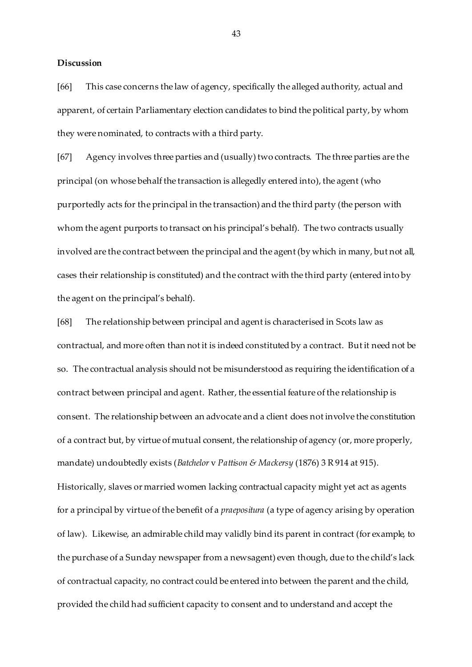### **Discussion**

[66] This case concerns the law of agency, specifically the alleged authority, actual and apparent, of certain Parliamentary election candidates to bind the political party, by whom they were nominated, to contracts with a third party.

[67] Agency involves three parties and (usually) two contracts. The three parties are the principal (on whose behalf the transaction is allegedly entered into), the agent (who purportedly acts for the principal in the transaction) and the third party (the person with whom the agent purports to transact on his principal's behalf). The two contracts usually involved are the contract between the principal and the agent (by which in many, but not all, cases their relationship is constituted) and the contract with the third party (entered into by the agent on the principal's behalf).

[68] The relationship between principal and agent is characterised in Scots law as contractual, and more often than not it is indeed constituted by a contract. But it need not be so. The contractual analysis should not be misunderstood as requiring the identification of a contract between principal and agent. Rather, the essential feature of the relationship is consent. The relationship between an advocate and a client does not involve the constitution of a contract but, by virtue of mutual consent, the relationship of agency (or, more properly, mandate) undoubtedly exists (*Batchelor* v *Pattison & Mackersy* (1876) 3 R 914 at 915).

Historically, slaves or married women lacking contractual capacity might yet act as agents for a principal by virtue of the benefit of a *praepositura* (a type of agency arising by operation of law). Likewise, an admirable child may validly bind its parent in contract (for example, to the purchase of a Sunday newspaper from a newsagent) even though, due to the child's lack of contractual capacity, no contract could be entered into between the parent and the child, provided the child had sufficient capacity to consent and to understand and accept the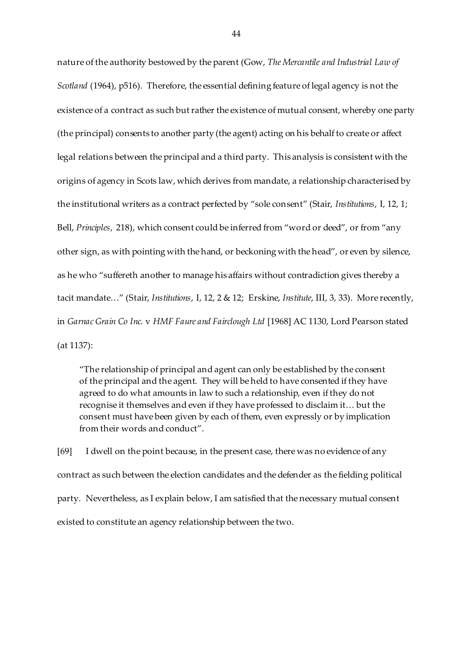nature of the authority bestowed by the parent (Gow, *The Mercantile and Industrial Law of Scotland* (1964), p516). Therefore, the essential defining feature of legal agency is not the existence of a contract as such but rather the existence of mutual consent, whereby one party (the principal) consents to another party (the agent) acting on his behalf to create or affect legal relations between the principal and a third party. This analysis is consistent with the origins of agency in Scots law, which derives from mandate, a relationship characterised by the institutional writers as a contract perfected by "sole consent" (Stair, *Institutions*, I, 12, 1; Bell, *Principles*, 218), which consent could be inferred from "word or deed", or from "any other sign, as with pointing with the hand, or beckoning with the head", or even by silence, as he who "suffereth another to manage his affairs without contradiction gives thereby a tacit mandate…" (Stair, *Institutions*, I, 12, 2 & 12; Erskine, *Institute*, III, 3, 33). More recently, in *Garnac Grain Co Inc.* v *HMF Faure and Fairclough Ltd* [1968] AC 1130, Lord Pearson stated (at 1137):

"The relationship of principal and agent can only be established by the consent of the principal and the agent. They will be held to have consented if they have agreed to do what amounts in law to such a relationship, even if they do not recognise it themselves and even if they have professed to disclaim it… but the consent must have been given by each of them, even expressly or by implication from their words and conduct".

[69] I dwell on the point because, in the present case, there was no evidence of any contract as such between the election candidates and the defender as the fielding political party. Nevertheless, as I explain below, I am satisfied that the necessary mutual consent existed to constitute an agency relationship between the two.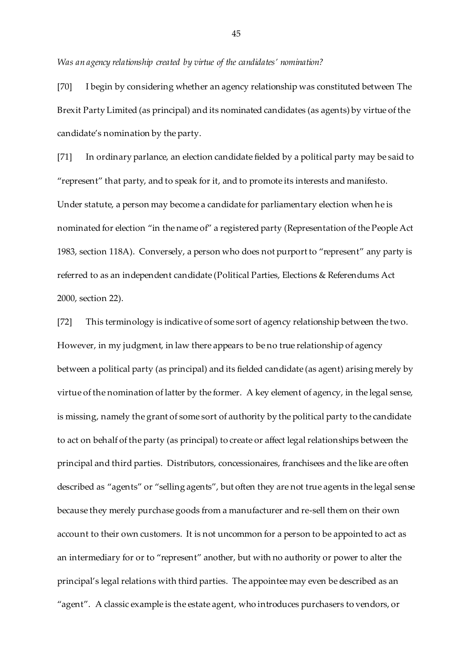*Was an agency relationship created by virtue of the candidates' nomination?*

[70] I begin by considering whether an agency relationship was constituted between The Brexit Party Limited (as principal) and its nominated candidates (as agents) by virtue of the candidate's nomination by the party.

[71] In ordinary parlance, an election candidate fielded by a political party may be said to "represent" that party, and to speak for it, and to promote its interests and manifesto. Under statute, a person may become a candidate for parliamentary election when he is nominated for election "in the name of" a registered party (Representation of the People Act 1983, section 118A). Conversely, a person who does not purport to "represent" any party is referred to as an independent candidate (Political Parties, Elections & Referendums Act 2000, section 22).

[72] This terminology is indicative of some sort of agency relationship between the two. However, in my judgment, in law there appears to be no true relationship of agency between a political party (as principal) and its fielded candidate (as agent) arising merely by virtue of the nomination of latter by the former. A key element of agency, in the legal sense, is missing, namely the grant of some sort of authority by the political party to the candidate to act on behalf of the party (as principal) to create or affect legal relationships between the principal and third parties. Distributors, concessionaires, franchisees and the like are often described as "agents" or "selling agents", but often they are not true agents in the legal sense because they merely purchase goods from a manufacturer and re-sell them on their own account to their own customers. It is not uncommon for a person to be appointed to act as an intermediary for or to "represent" another, but with no authority or power to alter the principal's legal relations with third parties. The appointee may even be described as an "agent". A classic example is the estate agent, who introduces purchasers to vendors, or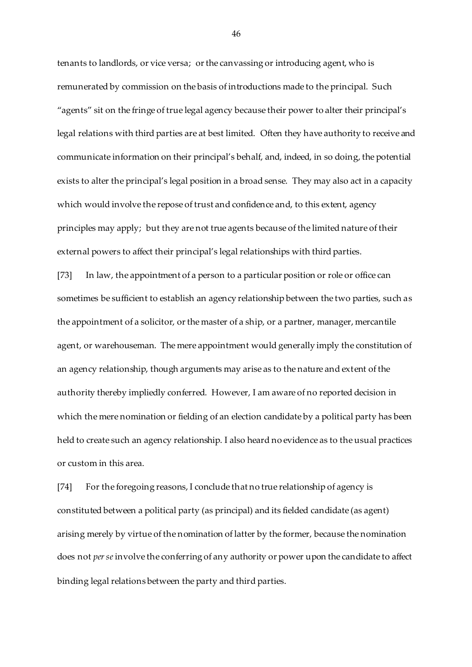tenants to landlords, or vice versa; or the canvassing or introducing agent, who is remunerated by commission on the basis of introductions made to the principal. Such "agents" sit on the fringe of true legal agency because their power to alter their principal's legal relations with third parties are at best limited. Often they have authority to receive and communicate information on their principal's behalf, and, indeed, in so doing, the potential exists to alter the principal's legal position in a broad sense. They may also act in a capacity which would involve the repose of trust and confidence and, to this extent, agency principles may apply; but they are not true agents because of the limited nature of their external powers to affect their principal's legal relationships with third parties.

[73] In law, the appointment of a person to a particular position or role or office can sometimes be sufficient to establish an agency relationship between the two parties, such as the appointment of a solicitor, or the master of a ship, or a partner, manager, mercantile agent, or warehouseman. The mere appointment would generally imply the constitution of an agency relationship, though arguments may arise as to the nature and extent of the authority thereby impliedly conferred. However, I am aware of no reported decision in which the mere nomination or fielding of an election candidate by a political party has been held to create such an agency relationship. I also heard no evidence as to the usual practices or custom in this area.

[74] For the foregoing reasons, I conclude that no true relationship of agency is constituted between a political party (as principal) and its fielded candidate (as agent) arising merely by virtue of the nomination of latter by the former, because the nomination does not *per se*involve the conferring of any authority or power upon the candidate to affect binding legal relations between the party and third parties.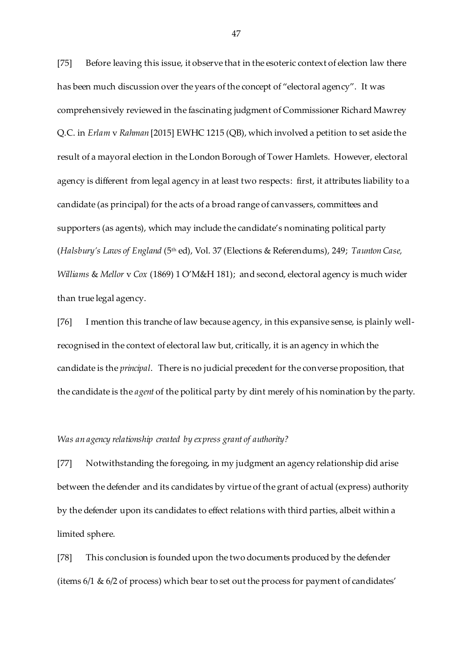[75] Before leaving this issue, it observe that in the esoteric context of election law there has been much discussion over the years of the concept of "electoral agency". It was comprehensively reviewed in the fascinating judgment of Commissioner Richard Mawrey Q.C. in *Erlam* v *Rahman* [2015] EWHC 1215 (QB), which involved a petition to set aside the result of a mayoral election in the London Borough of Tower Hamlets. However, electoral agency is different from legal agency in at least two respects: first, it attributes liability to a candidate (as principal) for the acts of a broad range of canvassers, committees and supporters (as agents), which may include the candidate's nominating political party (*Halsbury's Laws of England* (5th ed), Vol. 37 (Elections & Referendums), 249; *Taunton Case, Williams* & *Mellor* v *Cox* (1869) 1 O'M&H 181); and second, electoral agency is much wider than true legal agency.

[76] I mention this tranche of law because agency, in this expansive sense, is plainly wellrecognised in the context of electoral law but, critically, it is an agency in which the candidate is the *principal*. There is no judicial precedent for the converse proposition, that the candidate is the *agent* of the political party by dint merely of his nomination by the party.

### *Was an agency relationship created by express grant of authority?*

[77] Notwithstanding the foregoing, in my judgment an agency relationship did arise between the defender and its candidates by virtue of the grant of actual (express) authority by the defender upon its candidates to effect relations with third parties, albeit within a limited sphere.

[78] This conclusion is founded upon the two documents produced by the defender (items 6/1 & 6/2 of process) which bear to set out the process for payment of candidates'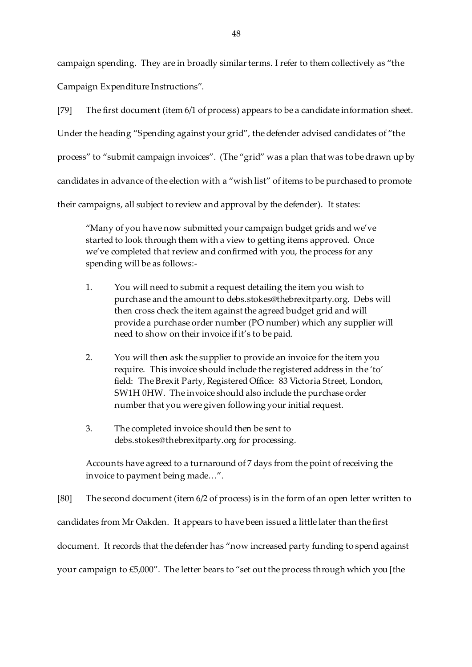campaign spending. They are in broadly similar terms. I refer to them collectively as "the Campaign Expenditure Instructions".

[79] The first document (item 6/1 of process) appears to be a candidate information sheet. Under the heading "Spending against your grid", the defender advised candidates of "the process" to "submit campaign invoices". (The "grid" was a plan that was to be drawn up by candidates in advance of the election with a "wish list" of items to be purchased to promote their campaigns, all subject to review and approval by the defender). It states:

"Many of you have now submitted your campaign budget grids and we've started to look through them with a view to getting items approved. Once we've completed that review and confirmed with you, the process for any spending will be as follows:-

- 1. You will need to submit a request detailing the item you wish to purchase and the amount t[o debs.stokes@thebrexitparty.org](mailto:debs.stokes@thebrexitparty.org). Debs will then cross check the item against the agreed budget grid and will provide a purchase order number (PO number) which any supplier will need to show on their invoice if it's to be paid.
- 2. You will then ask the supplier to provide an invoice for the item you require. This invoice should include the registered address in the 'to' field: The Brexit Party, Registered Office: 83 Victoria Street, London, SW1H 0HW. The invoice should also include the purchase order number that you were given following your initial request.
- 3. The completed invoice should then be sent to [debs.stokes@thebrexitparty.org](mailto:debs.stokes@thebrexitparty.org) for processing.

Accounts have agreed to a turnaround of 7 days from the point of receiving the invoice to payment being made…".

[80] The second document (item 6/2 of process) is in the form of an open letter written to candidates from Mr Oakden. It appears to have been issued a little later than the first document. It records that the defender has "now increased party funding to spend against your campaign to £5,000". The letter bears to "set out the process through which you [the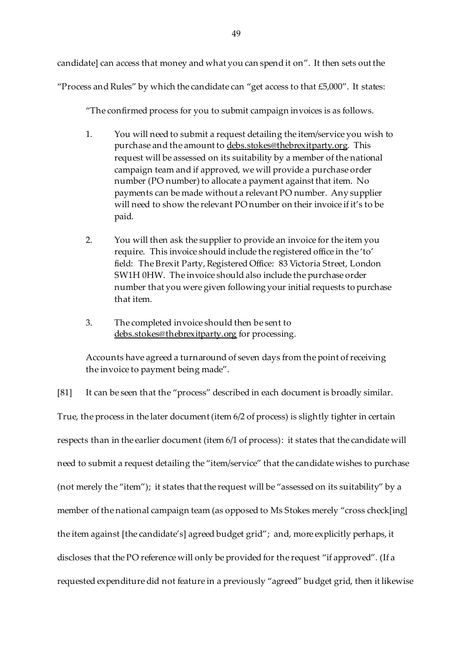candidate] can access that money and what you can spend it on". It then sets out the

"Process and Rules" by which the candidate can "get access to that £5,000". It states:

"The confirmed process for you to submit campaign invoices is as follows.

- 1. You will need to submit a request detailing the item/service you wish to purchase and the amount t[o debs.stokes@thebrexitparty.org](mailto:debs.stokes@thebrexitparty.org). This request will be assessed on its suitability by a member of the national campaign team and if approved, we will provide a purchase order number (PO number) to allocate a payment against that item. No payments can be made without a relevant PO number. Any supplier will need to show the relevant PO number on their invoice if it's to be paid.
- 2. You will then ask the supplier to provide an invoice for the item you require. This invoice should include the registered office in the 'to' field: The Brexit Party, Registered Office: 83 Victoria Street, London SW1H 0HW. The invoice should also include the purchase order number that you were given following your initial requests to purchase that item.
- 3. The completed invoice should then be sent to [debs.stokes@thebrexitparty.org](mailto:debs.stokes@thebrexitparty.org) for processing.

Accounts have agreed a turnaround of seven days from the point of receiving the invoice to payment being made".

[81] It can be seen that the "process" described in each document is broadly similar. True, the process in the later document (item 6/2 of process) is slightly tighter in certain respects than in the earlier document (item 6/1 of process): it states that the candidate will need to submit a request detailing the "item/service" that the candidate wishes to purchase (not merely the "item"); it states that the request will be "assessed on its suitability" by a member of the national campaign team (as opposed to Ms Stokes merely "cross check[ing] the item against [the candidate's] agreed budget grid"; and, more explicitly perhaps, it discloses that the PO reference will only be provided for the request "if approved". (If a requested expenditure did not feature in a previously "agreed" budget grid, then it likewise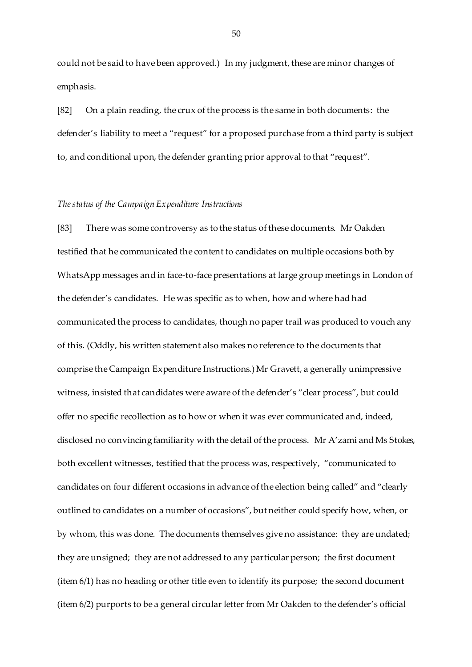could not be said to have been approved.) In my judgment, these are minor changes of emphasis.

[82] On a plain reading, the crux of the process is the same in both documents: the defender's liability to meet a "request" for a proposed purchase from a third party is subject to, and conditional upon, the defender granting prior approval to that "request".

### *The status of the Campaign Expenditure Instructions*

[83] There was some controversy as to the status of these documents. Mr Oakden testified that he communicated the content to candidates on multiple occasions both by WhatsApp messages and in face-to-face presentations at large group meetings in London of the defender's candidates. He was specific as to when, how and where had had communicated the process to candidates, though no paper trail was produced to vouch any of this. (Oddly, his written statement also makes no reference to the documents that comprise the Campaign Expenditure Instructions.) Mr Gravett, a generally unimpressive witness, insisted that candidates were aware of the defender's "clear process", but could offer no specific recollection as to how or when it was ever communicated and, indeed, disclosed no convincing familiarity with the detail of the process. Mr A'zami and Ms Stokes, both excellent witnesses, testified that the process was, respectively, "communicated to candidates on four different occasions in advance of the election being called" and "clearly outlined to candidates on a number of occasions", but neither could specify how, when, or by whom, this was done. The documents themselves give no assistance: they are undated; they are unsigned; they are not addressed to any particular person; the first document (item 6/1) has no heading or other title even to identify its purpose; the second document (item 6/2) purports to be a general circular letter from Mr Oakden to the defender's official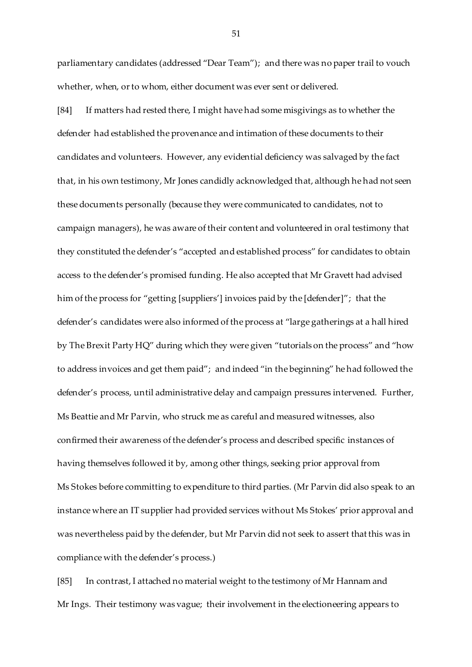parliamentary candidates (addressed "Dear Team"); and there was no paper trail to vouch whether, when, or to whom, either document was ever sent or delivered.

[84] If matters had rested there, I might have had some misgivings as to whether the defender had established the provenance and intimation of these documents to their candidates and volunteers. However, any evidential deficiency was salvaged by the fact that, in his own testimony, Mr Jones candidly acknowledged that, although he had not seen these documents personally (because they were communicated to candidates, not to campaign managers), he was aware of their content and volunteered in oral testimony that they constituted the defender's "accepted and established process" for candidates to obtain access to the defender's promised funding. He also accepted that Mr Gravett had advised him of the process for "getting [suppliers'] invoices paid by the [defender]"; that the defender's candidates were also informed of the process at "large gatherings at a hall hired by The Brexit Party HQ" during which they were given "tutorials on the process" and "how to address invoices and get them paid"; and indeed "in the beginning" he had followed the defender's process, until administrative delay and campaign pressures intervened. Further, Ms Beattie and Mr Parvin, who struck me as careful and measured witnesses, also confirmed their awareness of the defender's process and described specific instances of having themselves followed it by, among other things, seeking prior approval from Ms Stokes before committing to expenditure to third parties. (Mr Parvin did also speak to an instance where an IT supplier had provided services without Ms Stokes' prior approval and was nevertheless paid by the defender, but Mr Parvin did not seek to assert that this was in compliance with the defender's process.)

[85] In contrast, I attached no material weight to the testimony of Mr Hannam and Mr Ings. Their testimony was vague; their involvement in the electioneering appears to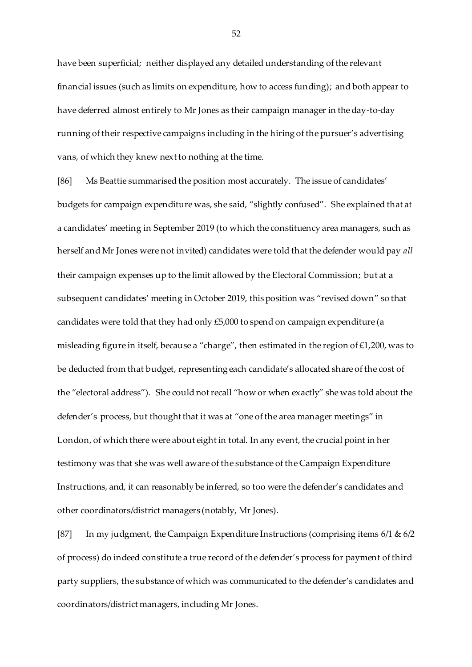have been superficial; neither displayed any detailed understanding of the relevant financial issues (such as limits on expenditure, how to access funding); and both appear to have deferred almost entirely to Mr Jones as their campaign manager in the day-to-day running of their respective campaigns including in the hiring of the pursuer's advertising vans, of which they knew next to nothing at the time.

[86] Ms Beattie summarised the position most accurately. The issue of candidates' budgets for campaign expenditure was, she said, "slightly confused". She explained that at a candidates' meeting in September 2019 (to which the constituency area managers, such as herself and Mr Jones were not invited) candidates were told that the defender would pay *all* their campaign expenses up to the limit allowed by the Electoral Commission; but at a subsequent candidates' meeting in October 2019, this position was "revised down" so that candidates were told that they had only £5,000 to spend on campaign expenditure (a misleading figure in itself, because a "charge", then estimated in the region of £1,200, was to be deducted from that budget, representing each candidate's allocated share of the cost of the "electoral address"). She could not recall "how or when exactly" she was told about the defender's process, but thought that it was at "one of the area manager meetings" in London, of which there were about eight in total. In any event, the crucial point in her testimony was that she was well aware of the substance of the Campaign Expenditure Instructions, and, it can reasonably be inferred, so too were the defender's candidates and other coordinators/district managers (notably, Mr Jones).

[87] In my judgment, the Campaign Expenditure Instructions (comprising items 6/1 & 6/2 of process) do indeed constitute a true record of the defender's process for payment of third party suppliers, the substance of which was communicated to the defender's candidates and coordinators/district managers, including Mr Jones.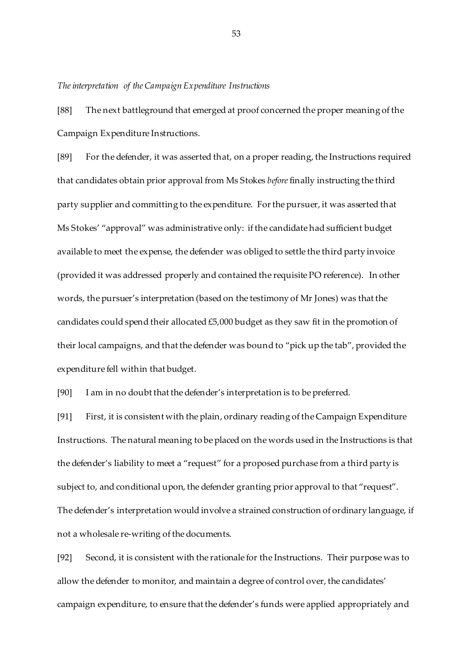### *The interpretation of the Campaign Expenditure Instructions*

[88] The next battleground that emerged at proof concerned the proper meaning of the Campaign Expenditure Instructions.

[89] For the defender, it was asserted that, on a proper reading, the Instructions required that candidates obtain prior approval from Ms Stokes *before*finally instructing the third party supplier and committing to the expenditure. For the pursuer, it was asserted that Ms Stokes' "approval" was administrative only: if the candidate had sufficient budget available to meet the expense, the defender was obliged to settle the third party invoice (provided it was addressed properly and contained the requisite PO reference). In other words, the pursuer's interpretation (based on the testimony of Mr Jones) was that the candidates could spend their allocated £5,000 budget as they saw fit in the promotion of their local campaigns, and that the defender was bound to "pick up the tab", provided the expenditure fell within that budget.

[90] I am in no doubt that the defender's interpretation is to be preferred.

[91] First, it is consistent with the plain, ordinary reading of the Campaign Expenditure Instructions. The natural meaning to be placed on the words used in the Instructions is that the defender's liability to meet a "request" for a proposed purchase from a third party is subject to, and conditional upon, the defender granting prior approval to that "request". The defender's interpretation would involve a strained construction of ordinary language, if not a wholesale re-writing of the documents.

[92] Second, it is consistent with the rationale for the Instructions. Their purpose was to allow the defender to monitor, and maintain a degree of control over, the candidates' campaign expenditure, to ensure that the defender's funds were applied appropriately and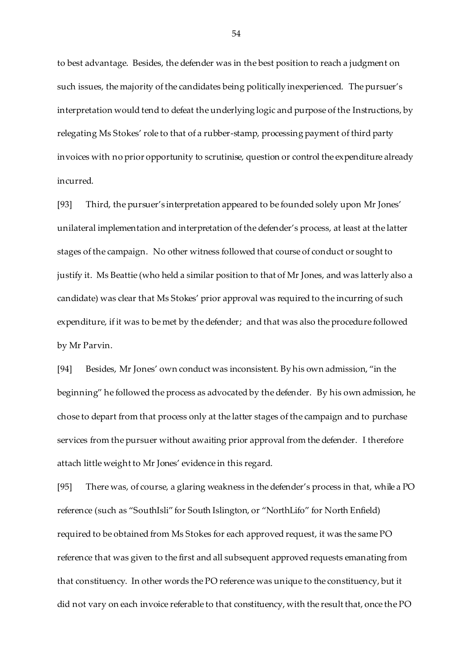to best advantage. Besides, the defender was in the best position to reach a judgment on such issues, the majority of the candidates being politically inexperienced. The pursuer's interpretation would tend to defeat the underlying logic and purpose of the Instructions, by relegating Ms Stokes' role to that of a rubber-stamp, processing payment of third party invoices with no prior opportunity to scrutinise, question or control the expenditure already incurred.

[93] Third, the pursuer's interpretation appeared to be founded solely upon Mr Jones' unilateral implementation and interpretation of the defender's process, at least at the latter stages of the campaign. No other witness followed that course of conduct or sought to justify it. Ms Beattie (who held a similar position to that of Mr Jones, and was latterly also a candidate) was clear that Ms Stokes' prior approval was required to the incurring of such expenditure, if it was to be met by the defender; and that was also the procedure followed by Mr Parvin.

[94] Besides, Mr Jones' own conduct was inconsistent. By his own admission, "in the beginning" he followed the process as advocated by the defender. By his own admission, he chose to depart from that process only at the latter stages of the campaign and to purchase services from the pursuer without awaiting prior approval from the defender. I therefore attach little weight to Mr Jones' evidence in this regard.

[95] There was, of course, a glaring weakness in the defender's process in that, while a PO reference (such as "SouthIsli" for South Islington, or "NorthLifo" for North Enfield) required to be obtained from Ms Stokes for each approved request, it was the same PO reference that was given to the first and all subsequent approved requests emanating from that constituency. In other words the PO reference was unique to the constituency, but it did not vary on each invoice referable to that constituency, with the result that, once the PO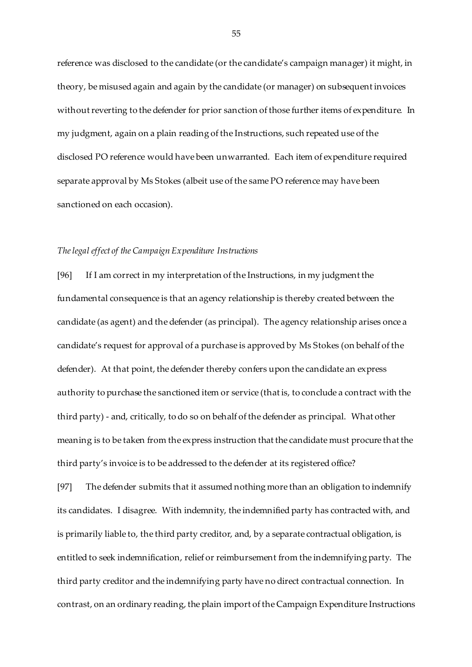reference was disclosed to the candidate (or the candidate's campaign manager) it might, in theory, be misused again and again by the candidate (or manager) on subsequent invoices without reverting to the defender for prior sanction of those further items of expenditure. In my judgment, again on a plain reading of the Instructions, such repeated use of the disclosed PO reference would have been unwarranted. Each item of expenditure required separate approval by Ms Stokes (albeit use of the same PO reference may have been sanctioned on each occasion).

# *The legal effect of the Campaign Expenditure Instructions*

[96] If I am correct in my interpretation of the Instructions, in my judgment the fundamental consequence is that an agency relationship is thereby created between the candidate (as agent) and the defender (as principal). The agency relationship arises once a candidate's request for approval of a purchase is approved by Ms Stokes (on behalf of the defender). At that point, the defender thereby confers upon the candidate an express authority to purchase the sanctioned item or service (that is, to conclude a contract with the third party) - and, critically, to do so on behalf of the defender as principal. What other meaning is to be taken from the express instruction that the candidate must procure that the third party's invoice is to be addressed to the defender at its registered office?

[97] The defender submits that it assumed nothing more than an obligation to indemnify its candidates. I disagree. With indemnity, the indemnified party has contracted with, and is primarily liable to, the third party creditor, and, by a separate contractual obligation, is entitled to seek indemnification, relief or reimbursement from the indemnifying party. The third party creditor and the indemnifying party have no direct contractual connection. In contrast, on an ordinary reading, the plain import of the Campaign Expenditure Instructions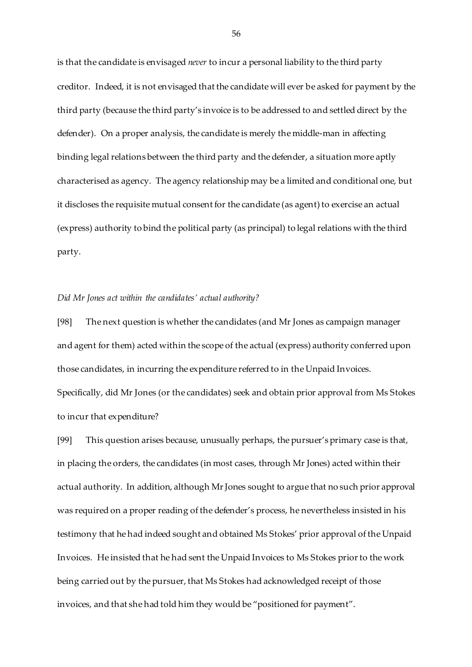is that the candidate is envisaged *never* to incur a personal liability to the third party creditor. Indeed, it is not envisaged that the candidate will ever be asked for payment by the third party (because the third party's invoice is to be addressed to and settled direct by the defender). On a proper analysis, the candidate is merely the middle-man in affecting binding legal relations between the third party and the defender, a situation more aptly characterised as agency. The agency relationship may be a limited and conditional one, but it discloses the requisite mutual consent for the candidate (as agent) to exercise an actual (express) authority to bind the political party (as principal) to legal relations with the third party.

#### *Did Mr Jones act within the candidates' actual authority?*

[98] The next question is whether the candidates (and Mr Jones as campaign manager and agent for them) acted within the scope of the actual (express) authority conferred upon those candidates, in incurring the expenditure referred to in the Unpaid Invoices. Specifically, did Mr Jones (or the candidates) seek and obtain prior approval from Ms Stokes to incur that expenditure?

[99] This question arises because, unusually perhaps, the pursuer's primary case is that, in placing the orders, the candidates (in most cases, through Mr Jones) acted within their actual authority. In addition, although MrJones sought to argue that no such prior approval was required on a proper reading of the defender's process, he nevertheless insisted in his testimony that he had indeed sought and obtained Ms Stokes' prior approval of the Unpaid Invoices. He insisted that he had sent the Unpaid Invoices to Ms Stokes prior to the work being carried out by the pursuer, that Ms Stokes had acknowledged receipt of those invoices, and that she had told him they would be "positioned for payment".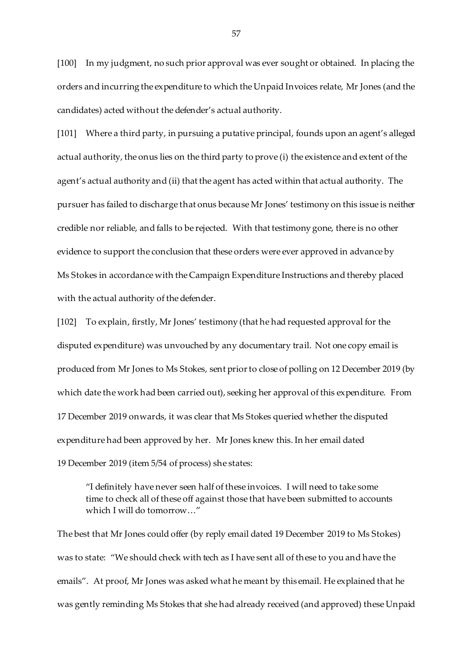[100] In my judgment, no such prior approval was ever sought or obtained. In placing the orders and incurring the expenditure to which the Unpaid Invoices relate, Mr Jones (and the candidates) acted without the defender's actual authority.

[101] Where a third party, in pursuing a putative principal, founds upon an agent's alleged actual authority, the onus lies on the third party to prove (i) the existence and extent of the agent's actual authority and (ii) that the agent has acted within that actual authority. The pursuer has failed to discharge that onus because Mr Jones' testimony on this issue is neither credible nor reliable, and falls to be rejected. With that testimony gone, there is no other evidence to support the conclusion that these orders were ever approved in advance by Ms Stokes in accordance with the Campaign Expenditure Instructions and thereby placed with the actual authority of the defender.

[102] To explain, firstly, Mr Jones' testimony (that he had requested approval for the disputed expenditure) was unvouched by any documentary trail. Not one copy email is produced from Mr Jones to Ms Stokes, sent prior to close of polling on 12 December 2019 (by which date the work had been carried out), seeking her approval of this expenditure. From 17 December 2019 onwards, it was clear that Ms Stokes queried whether the disputed expenditure had been approved by her. Mr Jones knew this. In her email dated 19 December 2019 (item 5/54 of process) she states:

"I definitely have never seen half of these invoices. I will need to take some time to check all of these off against those that have been submitted to accounts which I will do tomorrow…"

The best that Mr Jones could offer (by reply email dated 19 December 2019 to Ms Stokes) was to state: "We should check with tech as I have sent all of these to you and have the emails". At proof, Mr Jones was asked what he meant by this email. He explained that he was gently reminding Ms Stokes that she had already received (and approved) these Unpaid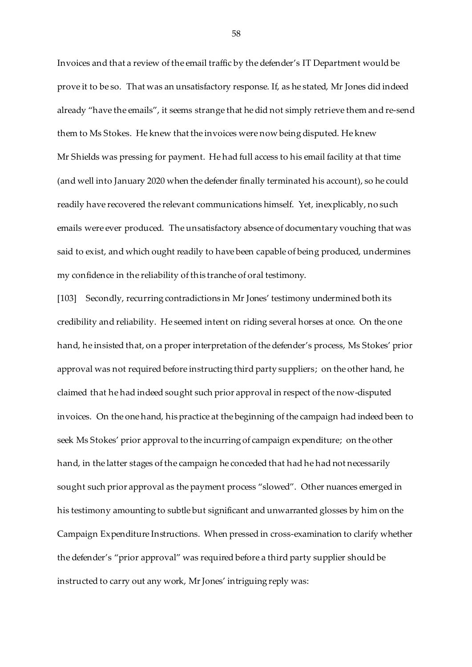Invoices and that a review of the email traffic by the defender's IT Department would be prove it to be so. That was an unsatisfactory response. If, as he stated, Mr Jones did indeed already "have the emails", it seems strange that he did not simply retrieve them and re-send them to Ms Stokes. He knew that the invoices were now being disputed. He knew Mr Shields was pressing for payment. He had full access to his email facility at that time (and well into January 2020 when the defender finally terminated his account), so he could readily have recovered the relevant communications himself. Yet, inexplicably, no such emails were ever produced. The unsatisfactory absence of documentary vouching that was said to exist, and which ought readily to have been capable of being produced, undermines my confidence in the reliability of this tranche of oral testimony.

[103] Secondly, recurring contradictions in Mr Jones' testimony undermined both its credibility and reliability. He seemed intent on riding several horses at once. On the one hand, he insisted that, on a proper interpretation of the defender's process, Ms Stokes' prior approval was not required before instructing third party suppliers; on the other hand, he claimed that he had indeed sought such prior approval in respect of the now-disputed invoices. On the one hand, his practice at the beginning of the campaign had indeed been to seek Ms Stokes' prior approval to the incurring of campaign expenditure; on the other hand, in the latter stages of the campaign he conceded that had he had not necessarily sought such prior approval as the payment process "slowed". Other nuances emerged in his testimony amounting to subtle but significant and unwarranted glosses by him on the Campaign Expenditure Instructions. When pressed in cross-examination to clarify whether the defender's "prior approval" was required before a third party supplier should be instructed to carry out any work, Mr Jones' intriguing reply was: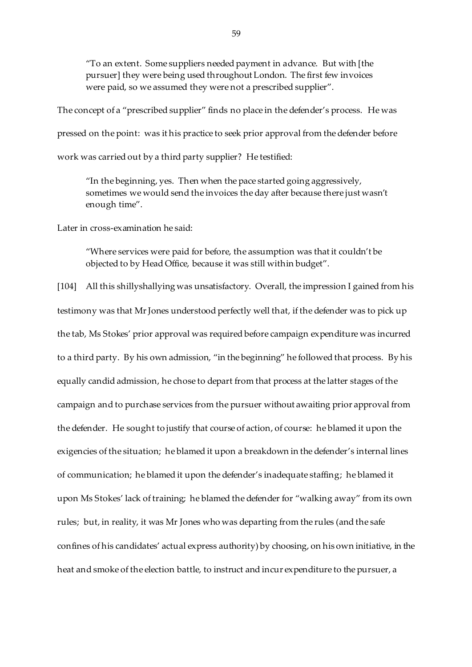"To an extent. Some suppliers needed payment in advance. But with [the pursuer] they were being used throughout London. The first few invoices were paid, so we assumed they were not a prescribed supplier".

The concept of a "prescribed supplier" finds no place in the defender's process. He was pressed on the point: was it his practice to seek prior approval from the defender before work was carried out by a third party supplier? He testified:

"In the beginning, yes. Then when the pace started going aggressively, sometimes we would send the invoices the day after because there just wasn't enough time".

Later in cross-examination he said:

"Where services were paid for before, the assumption was that it couldn't be objected to by Head Office, because it was still within budget".

[104] All this shillyshallying was unsatisfactory. Overall, the impression I gained from his testimony was that MrJones understood perfectly well that, if the defender was to pick up the tab, Ms Stokes' prior approval was required before campaign expenditure was incurred to a third party. By his own admission, "in the beginning" he followed that process. By his equally candid admission, he chose to depart from that process at the latter stages of the campaign and to purchase services from the pursuer without awaiting prior approval from the defender. He sought to justify that course of action, of course: he blamed it upon the exigencies of the situation; he blamed it upon a breakdown in the defender's internal lines of communication; he blamed it upon the defender's inadequate staffing; he blamed it upon Ms Stokes' lack of training; he blamed the defender for "walking away" from its own rules; but, in reality, it was Mr Jones who was departing from the rules (and the safe confines of his candidates' actual express authority) by choosing, on his own initiative, in the heat and smoke of the election battle, to instruct and incur expenditure to the pursuer, a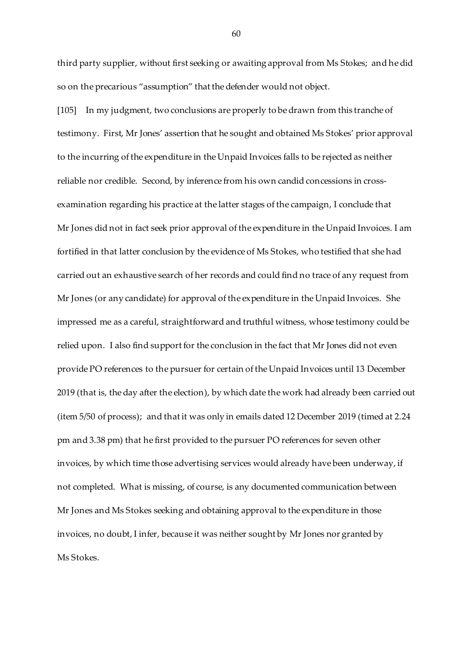third party supplier, without first seeking or awaiting approval from Ms Stokes; and he did so on the precarious "assumption" that the defender would not object.

[105] In my judgment, two conclusions are properly to be drawn from this tranche of testimony. First, Mr Jones' assertion that he sought and obtained Ms Stokes' prior approval to the incurring of the expenditure in the Unpaid Invoices falls to be rejected as neither reliable nor credible. Second, by inference from his own candid concessions in crossexamination regarding his practice at the latter stages of the campaign, I conclude that Mr Jones did not in fact seek prior approval of the expenditure in the Unpaid Invoices. I am fortified in that latter conclusion by the evidence of Ms Stokes, who testified that she had carried out an exhaustive search of her records and could find no trace of any request from Mr Jones (or any candidate) for approval of the expenditure in the Unpaid Invoices. She impressed me as a careful, straightforward and truthful witness, whose testimony could be relied upon. I also find support for the conclusion in the fact that Mr Jones did not even provide PO references to the pursuer for certain of the Unpaid Invoices until 13 December 2019 (that is, the day after the election), by which date the work had already been carried out (item 5/50 of process); and that it was only in emails dated 12 December 2019 (timed at 2.24 pm and 3.38 pm) that he first provided to the pursuer PO references for seven other invoices, by which time those advertising services would already have been underway, if not completed. What is missing, of course, is any documented communication between Mr Jones and Ms Stokes seeking and obtaining approval to the expenditure in those invoices, no doubt, I infer, because it was neither sought by Mr Jones nor granted by Ms Stokes.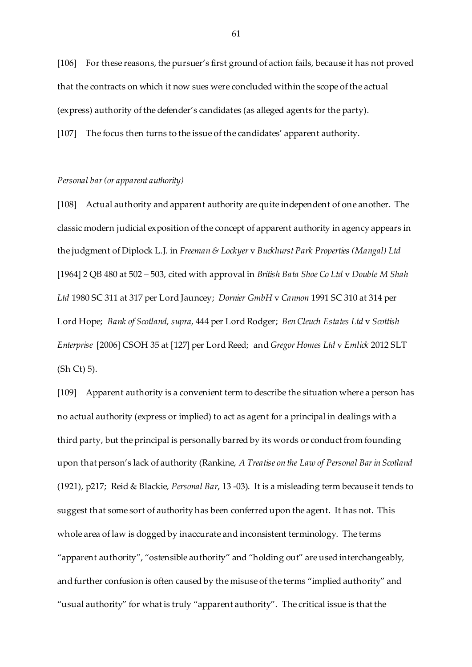[106] For these reasons, the pursuer's first ground of action fails, because it has not proved that the contracts on which it now sues were concluded within the scope of the actual (express) authority of the defender's candidates (as alleged agents for the party). [107] The focus then turns to the issue of the candidates' apparent authority.

# *Personal bar (or apparent authority)*

[108] Actual authority and apparent authority are quite independent of one another. The classic modern judicial exposition of the concept of apparent authority in agency appears in the judgment of Diplock L.J. in *Freeman & Lockyer* v *Buckhurst Park Properties (Mangal) Ltd* [1964] 2 QB 480 at 502 – 503, cited with approval in *British Bata Shoe Co Ltd* v *Double M Shah Ltd* 1980 SC 311 at 317 per Lord Jauncey; *Dornier GmbH* v *Cannon* 1991 SC 310 at 314 per Lord Hope; *Bank of Scotland, supra,* 444 per Lord Rodger; *Ben Cleuch Estates Ltd* v *Scottish Enterprise* [2006] CSOH 35 at [127] per Lord Reed; and *Gregor Homes Ltd* v *Emlick* 2012 SLT  $(Sh Ct) 5$ ).

[109] Apparent authority is a convenient term to describe the situation where a person has no actual authority (express or implied) to act as agent for a principal in dealings with a third party, but the principal is personally barred by its words or conduct from founding upon that person's lack of authority (Rankine, *A Treatise on the Law of Personal Bar in Scotland* (1921), p217; Reid & Blackie*, Personal Bar*, 13 -03). It is a misleading term because it tends to suggest that some sort of authority has been conferred upon the agent. It has not. This whole area of law is dogged by inaccurate and inconsistent terminology. The terms "apparent authority", "ostensible authority" and "holding out" are used interchangeably, and further confusion is often caused by the misuse of the terms "implied authority" and "usual authority" for what is truly "apparent authority". The critical issue is that the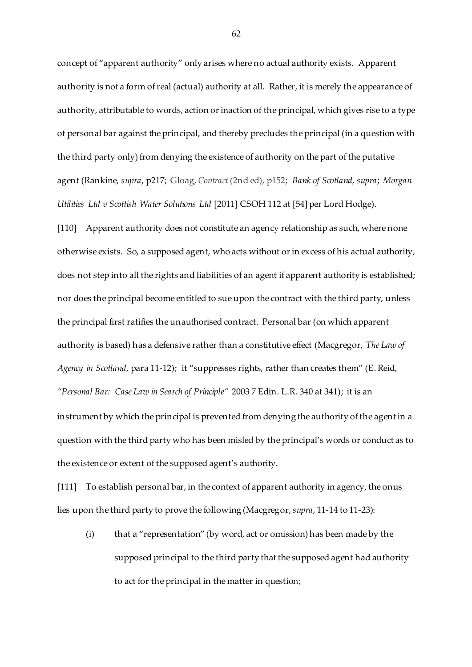concept of "apparent authority" only arises where no actual authority exists. Apparent authority is not a form of real (actual) authority at all. Rather, it is merely the appearance of authority, attributable to words, action or inaction of the principal, which gives rise to a type of personal bar against the principal, and thereby precludes the principal (in a question with the third party only) from denying the existence of authority on the part of the putative agent (Rankine, *supra*, p217; Gloag, *Contract* (2nd ed), p152; *Bank of Scotland, supra*; *Morgan Utilities Ltd v Scottish Water Solutions Ltd* [2011] CSOH 112 at [54] per Lord Hodge).

[110] Apparent authority does not constitute an agency relationship as such, where none otherwise exists. So, a supposed agent, who acts without or in excess of his actual authority, does not step into all the rights and liabilities of an agent if apparent authority is established; nor does the principal become entitled to sue upon the contract with the third party, unless the principal first ratifies the unauthorised contract. Personal bar (on which apparent authority is based) has a defensive rather than a constitutive effect (Macgregor, *The Law of Agency in Scotland*, para 11-12); it "suppresses rights, rather than creates them" (E. Reid, *"Personal Bar: Case Law in Search of Principle"* 2003 7 Edin. L.R. 340 at 341); it is an instrument by which the principal is prevented from denying the authority of the agent in a question with the third party who has been misled by the principal's words or conduct as to the existence or extent of the supposed agent's authority.

[111] To establish personal bar, in the context of apparent authority in agency, the onus lies upon the third party to prove the following (Macgregor, *supra*, 11-14 to 11-23):

(i) that a "representation" (by word, act or omission) has been made by the supposed principal to the third party that the supposed agent had authority to act for the principal in the matter in question;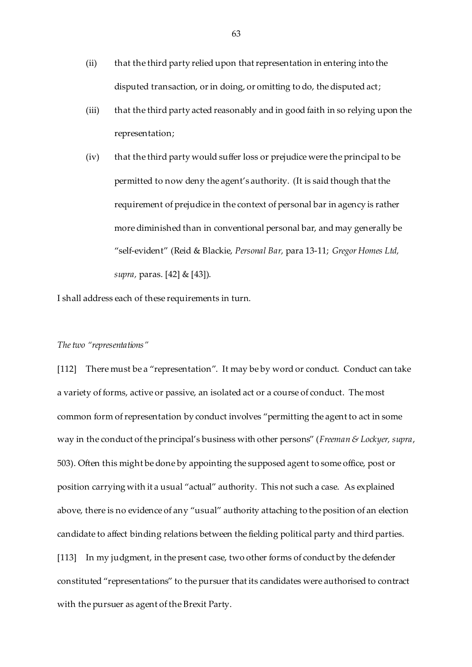- (ii) that the third party relied upon that representation in entering into the disputed transaction, or in doing, or omitting to do, the disputed act;
- (iii) that the third party acted reasonably and in good faith in so relying upon the representation;
- (iv) that the third party would suffer loss or prejudice were the principal to be permitted to now deny the agent's authority. (It is said though that the requirement of prejudice in the context of personal bar in agency is rather more diminished than in conventional personal bar, and may generally be "self-evident" (Reid & Blackie, *Personal Bar,* para 13-11; *Gregor Homes Ltd, supra,* paras. [42] & [43]).

I shall address each of these requirements in turn.

### *The two "representations"*

[112] There must be a "representation". It may be by word or conduct. Conduct can take a variety of forms, active or passive, an isolated act or a course of conduct. The most common form of representation by conduct involves "permitting the agent to act in some way in the conduct of the principal's business with other persons" (*Freeman & Lockyer, supra*, 503). Often this might be done by appointing the supposed agent to some office, post or position carrying with it a usual "actual" authority. This not such a case. As explained above, there is no evidence of any "usual" authority attaching to the position of an election candidate to affect binding relations between the fielding political party and third parties. [113] In my judgment, in the present case, two other forms of conduct by the defender constituted "representations" to the pursuer that its candidates were authorised to contract with the pursuer as agent of the Brexit Party.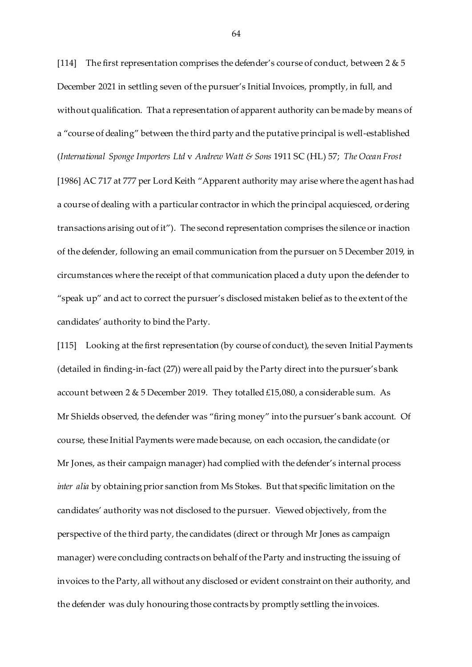[114] The first representation comprises the defender's course of conduct, between  $2 \& 5$ December 2021 in settling seven of the pursuer's Initial Invoices, promptly, in full, and without qualification. That a representation of apparent authority can be made by means of a "course of dealing" between the third party and the putative principal is well-established (*International Sponge Importers Ltd* v *Andrew Watt & Sons* 1911 SC (HL) 57; *The Ocean Frost* [1986] AC 717 at 777 per Lord Keith "Apparent authority may arise where the agent has had a course of dealing with a particular contractor in which the principal acquiesced, ordering transactions arising out of it"). The second representation comprises the silence or inaction of the defender, following an email communication from the pursuer on 5 December 2019, in circumstances where the receipt of that communication placed a duty upon the defender to "speak up" and act to correct the pursuer's disclosed mistaken belief as to the extent of the candidates' authority to bind the Party.

[115] Looking at the first representation (by course of conduct), the seven Initial Payments (detailed in finding-in-fact (27)) were all paid by the Party direct into the pursuer's bank account between 2 & 5 December 2019. They totalled £15,080, a considerable sum. As Mr Shields observed, the defender was "firing money" into the pursuer's bank account. Of course, these Initial Payments were made because, on each occasion, the candidate (or Mr Jones, as their campaign manager) had complied with the defender's internal process *inter alia* by obtaining prior sanction from Ms Stokes. But that specific limitation on the candidates' authority was not disclosed to the pursuer. Viewed objectively, from the perspective of the third party, the candidates (direct or through Mr Jones as campaign manager) were concluding contracts on behalf of the Party and instructing the issuing of invoices to the Party, all without any disclosed or evident constraint on their authority, and the defender was duly honouring those contracts by promptly settling the invoices.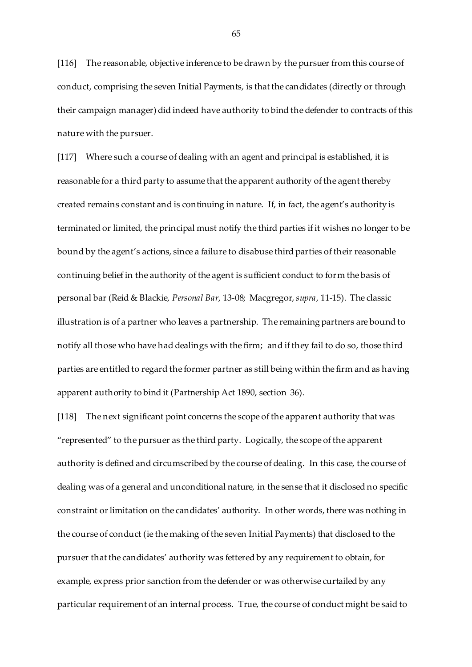[116] The reasonable, objective inference to be drawn by the pursuer from this course of conduct, comprising the seven Initial Payments, is that the candidates (directly or through their campaign manager) did indeed have authority to bind the defender to contracts of this nature with the pursuer.

[117] Where such a course of dealing with an agent and principal is established, it is reasonable for a third party to assume that the apparent authority of the agent thereby created remains constant and is continuing in nature. If, in fact, the agent's authority is terminated or limited, the principal must notify the third parties if it wishes no longer to be bound by the agent's actions, since a failure to disabuse third parties of their reasonable continuing belief in the authority of the agent is sufficient conduct to form the basis of personal bar (Reid & Blackie, *Personal Bar*, 13-08; Macgregor, *supra*, 11-15). The classic illustration is of a partner who leaves a partnership. The remaining partners are bound to notify all those who have had dealings with the firm; and if they fail to do so, those third parties are entitled to regard the former partner as still being within the firm and as having apparent authority to bind it (Partnership Act 1890, section 36).

[118] The next significant point concerns the scope of the apparent authority that was "represented" to the pursuer as the third party. Logically, the scope of the apparent authority is defined and circumscribed by the course of dealing. In this case, the course of dealing was of a general and unconditional nature, in the sense that it disclosed no specific constraint or limitation on the candidates' authority. In other words, there was nothing in the course of conduct (ie the making of the seven Initial Payments) that disclosed to the pursuer that the candidates' authority was fettered by any requirement to obtain, for example, express prior sanction from the defender or was otherwise curtailed by any particular requirement of an internal process. True, the course of conduct might be said to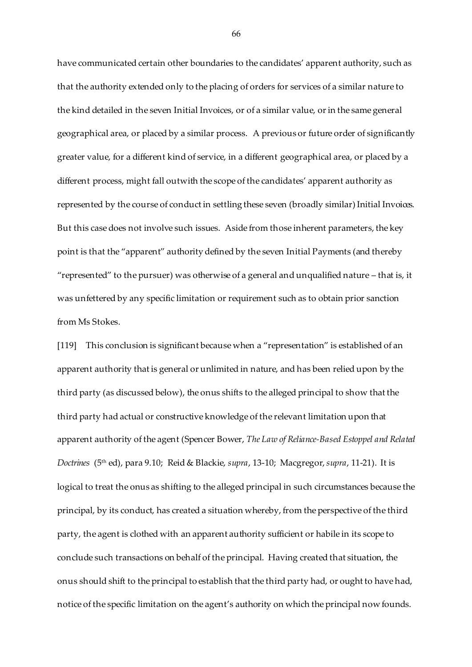have communicated certain other boundaries to the candidates' apparent authority, such as that the authority extended only to the placing of orders for services of a similar nature to the kind detailed in the seven Initial Invoices, or of a similar value, or in the same general geographical area, or placed by a similar process. A previous or future order of significantly greater value, for a different kind of service, in a different geographical area, or placed by a different process, might fall outwith the scope of the candidates' apparent authority as represented by the course of conduct in settling these seven (broadly similar) Initial Invoices. But this case does not involve such issues. Aside from those inherent parameters, the key point is that the "apparent" authority defined by the seven Initial Payments (and thereby "represented" to the pursuer) was otherwise of a general and unqualified nature – that is, it was unfettered by any specific limitation or requirement such as to obtain prior sanction from Ms Stokes.

[119] This conclusion is significant because when a "representation" is established of an apparent authority that is general or unlimited in nature, and has been relied upon by the third party (as discussed below), the onus shifts to the alleged principal to show that the third party had actual or constructive knowledge of the relevant limitation upon that apparent authority of the agent (Spencer Bower, *The Law of Reliance-Based Estoppel and Related Doctrines* (5th ed), para 9.10; Reid & Blackie, *supra*, 13-10; Macgregor, *supra*, 11-21). It is logical to treat the onus as shifting to the alleged principal in such circumstances because the principal, by its conduct, has created a situation whereby, from the perspective of the third party, the agent is clothed with an apparent authority sufficient or habile in its scope to conclude such transactions on behalf of the principal. Having created that situation, the onus should shift to the principal to establish that the third party had, or ought to have had, notice of the specific limitation on the agent's authority on which the principal now founds.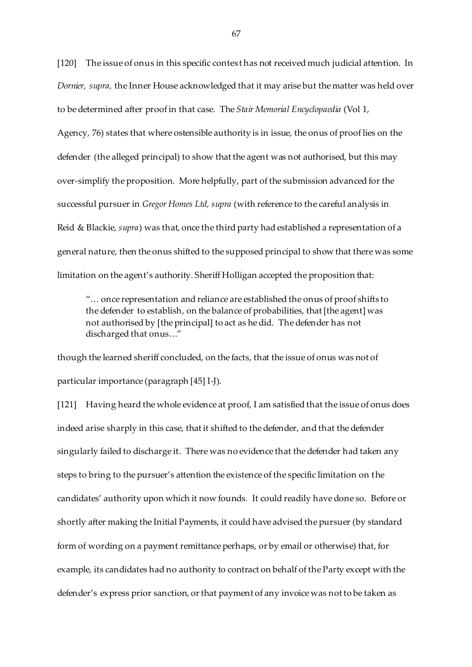[120] The issue of onus in this specific context has not received much judicial attention. In *Dornier, supra,* the Inner House acknowledged that it may arise but the matter was held over to be determined after proof in that case. The *Stair Memorial Encyclopaedia* (Vol 1, Agency*,* 76) states that where ostensible authority is in issue, the onus of proof lies on the defender (the alleged principal) to show that the agent was not authorised, but this may over-simplify the proposition. More helpfully, part of the submission advanced for the successful pursuer in *Gregor Homes Ltd, supra* (with reference to the careful analysis in Reid & Blackie, *supra*) was that, once the third party had established a representation of a general nature, then the onus shifted to the supposed principal to show that there was some limitation on the agent's authority. Sheriff Holligan accepted the proposition that:

"… once representation and reliance are established the onus of proof shifts to the defender to establish, on the balance of probabilities, that [the agent] was not authorised by [the principal] to act as he did. The defender has not discharged that onus…"

though the learned sheriff concluded, on the facts, that the issue of onus was not of particular importance (paragraph [45] I-J).

[121] Having heard the whole evidence at proof, I am satisfied that the issue of onus does indeed arise sharply in this case, that it shifted to the defender, and that the defender singularly failed to discharge it. There was no evidence that the defender had taken any steps to bring to the pursuer's attention the existence of the specific limitation on the candidates' authority upon which it now founds. It could readily have done so. Before or shortly after making the Initial Payments, it could have advised the pursuer (by standard form of wording on a payment remittance perhaps, or by email or otherwise) that, for example, its candidates had no authority to contract on behalf of the Party except with the defender's express prior sanction, or that payment of any invoice was not to be taken as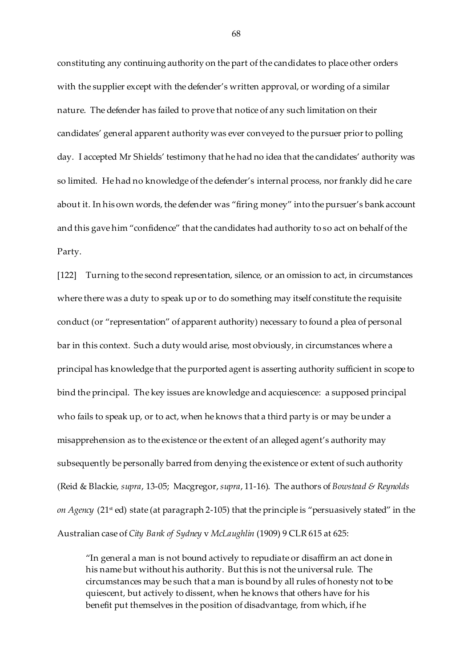constituting any continuing authority on the part of the candidates to place other orders with the supplier except with the defender's written approval, or wording of a similar nature. The defender has failed to prove that notice of any such limitation on their candidates' general apparent authority was ever conveyed to the pursuer prior to polling day. I accepted Mr Shields' testimony that he had no idea that the candidates' authority was so limited. He had no knowledge of the defender's internal process, nor frankly did he care about it. In his own words, the defender was "firing money" into the pursuer's bank account and this gave him "confidence" that the candidates had authority to so act on behalf of the Party.

[122] Turning to the second representation, silence, or an omission to act, in circumstances where there was a duty to speak up or to do something may itself constitute the requisite conduct (or "representation" of apparent authority) necessary to found a plea of personal bar in this context. Such a duty would arise, most obviously, in circumstances where a principal has knowledge that the purported agent is asserting authority sufficient in scope to bind the principal. The key issues are knowledge and acquiescence: a supposed principal who fails to speak up, or to act, when he knows that a third party is or may be under a misapprehension as to the existence or the extent of an alleged agent's authority may subsequently be personally barred from denying the existence or extent of such authority (Reid & Blackie, *supra*, 13-05; Macgregor, *supra*, 11-16). The authors of *Bowstead & Reynolds on Agency* (21<sup>st</sup> ed) state (at paragraph 2-105) that the principle is "persuasively stated" in the Australian case of *City Bank of Sydney* v *McLaughlin* (1909) 9 CLR 615 at 625:

"In general a man is not bound actively to repudiate or disaffirm an act done in his name but without his authority. But this is not the universal rule. The circumstances may be such that a man is bound by all rules of honesty not to be quiescent, but actively to dissent, when he knows that others have for his benefit put themselves in the position of disadvantage, from which, if he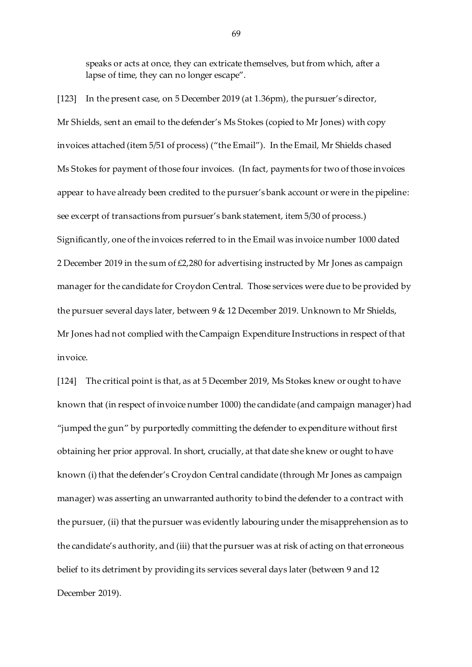speaks or acts at once, they can extricate themselves, but from which, after a lapse of time, they can no longer escape".

[123] In the present case, on 5 December 2019 (at 1.36pm), the pursuer's director, Mr Shields, sent an email to the defender's Ms Stokes (copied to Mr Jones) with copy invoices attached (item 5/51 of process) ("the Email"). In the Email, Mr Shields chased Ms Stokes for payment of those four invoices. (In fact, payments for two of those invoices appear to have already been credited to the pursuer's bank account or were in the pipeline: see excerpt of transactions from pursuer's bank statement, item 5/30 of process.) Significantly, one of the invoices referred to in the Email was invoice number 1000 dated 2 December 2019 in the sum of  $£2,280$  for advertising instructed by Mr Jones as campaign manager for the candidate for Croydon Central. Those services were due to be provided by the pursuer several days later, between 9 & 12 December 2019. Unknown to Mr Shields, Mr Jones had not complied with the Campaign Expenditure Instructions in respect of that invoice.

[124] The critical point is that, as at 5 December 2019, Ms Stokes knew or ought to have known that (in respect of invoice number 1000) the candidate (and campaign manager) had "jumped the gun" by purportedly committing the defender to expenditure without first obtaining her prior approval. In short, crucially, at that date she knew or ought to have known (i) that the defender's Croydon Central candidate (through Mr Jones as campaign manager) was asserting an unwarranted authority to bind the defender to a contract with the pursuer, (ii) that the pursuer was evidently labouring under the misapprehension as to the candidate's authority, and (iii) that the pursuer was at risk of acting on that erroneous belief to its detriment by providing its services several days later (between 9 and 12 December 2019).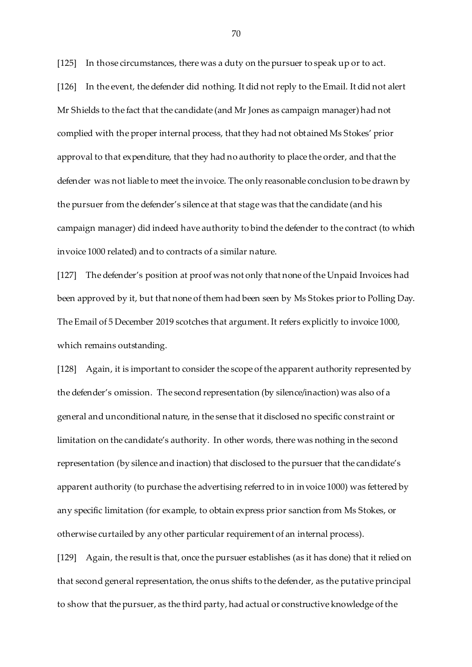[125] In those circumstances, there was a duty on the pursuer to speak up or to act. [126] In the event, the defender did nothing. It did not reply to the Email. It did not alert Mr Shields to the fact that the candidate (and Mr Jones as campaign manager) had not complied with the proper internal process, that they had not obtained Ms Stokes' prior approval to that expenditure, that they had no authority to place the order, and that the defender was not liable to meet the invoice. The only reasonable conclusion to be drawn by the pursuer from the defender's silence at that stage was that the candidate (and his campaign manager) did indeed have authority to bind the defender to the contract (to which invoice 1000 related) and to contracts of a similar nature.

[127] The defender's position at proof was not only that none of the Unpaid Invoices had been approved by it, but that none of them had been seen by Ms Stokes prior to Polling Day. The Email of 5 December 2019 scotches that argument. It refers explicitly to invoice 1000, which remains outstanding.

[128] Again, it is important to consider the scope of the apparent authority represented by the defender's omission. The second representation (by silence/inaction) was also of a general and unconditional nature, in the sense that it disclosed no specific constraint or limitation on the candidate's authority. In other words, there was nothing in the second representation (by silence and inaction) that disclosed to the pursuer that the candidate's apparent authority (to purchase the advertising referred to in invoice 1000) was fettered by any specific limitation (for example, to obtain express prior sanction from Ms Stokes, or otherwise curtailed by any other particular requirement of an internal process).

[129] Again, the result is that, once the pursuer establishes (as it has done) that it relied on that second general representation, the onus shifts to the defender, as the putative principal to show that the pursuer, as the third party, had actual or constructive knowledge of the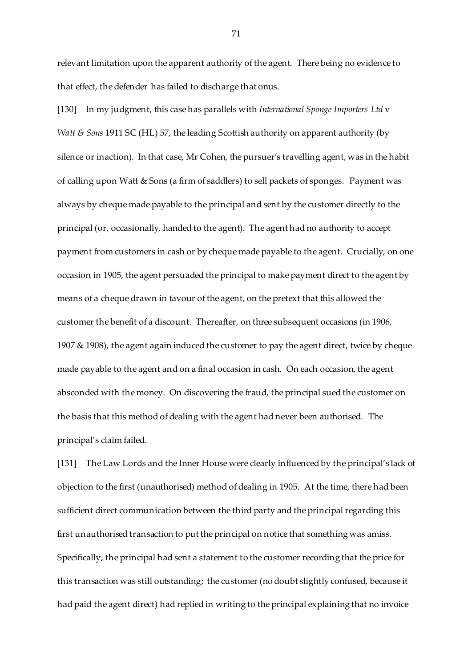relevant limitation upon the apparent authority of the agent. There being no evidence to that effect, the defender has failed to discharge that onus.

[130] In my judgment, this case has parallels with *International Sponge Importers Ltd* v *Watt* & Sons 1911 SC (HL) 57, the leading Scottish authority on apparent authority (by silence or inaction). In that case, Mr Cohen, the pursuer's travelling agent, was in the habit of calling upon Watt & Sons (a firm of saddlers) to sell packets of sponges. Payment was always by cheque made payable to the principal and sent by the customer directly to the principal (or, occasionally, handed to the agent). The agent had no authority to accept payment from customers in cash or by cheque made payable to the agent. Crucially, on one occasion in 1905, the agent persuaded the principal to make payment direct to the agent by means of a cheque drawn in favour of the agent, on the pretext that this allowed the customer the benefit of a discount. Thereafter, on three subsequent occasions (in 1906, 1907 & 1908), the agent again induced the customer to pay the agent direct, twice by cheque made payable to the agent and on a final occasion in cash. On each occasion, the agent absconded with the money. On discovering the fraud, the principal sued the customer on the basis that this method of dealing with the agent had never been authorised. The principal's claim failed.

[131] The Law Lords and the Inner House were clearly influenced by the principal's lack of objection to the first (unauthorised) method of dealing in 1905. At the time, there had been sufficient direct communication between the third party and the principal regarding this first unauthorised transaction to put the principal on notice that something was amiss. Specifically, the principal had sent a statement to the customer recording that the price for this transaction was still outstanding; the customer (no doubt slightly confused, because it had paid the agent direct) had replied in writing to the principal explaining that no invoice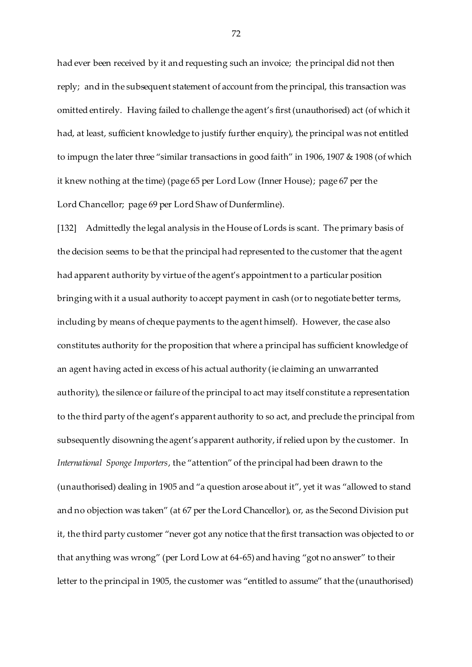had ever been received by it and requesting such an invoice; the principal did not then reply; and in the subsequent statement of account from the principal, this transaction was omitted entirely. Having failed to challenge the agent's first (unauthorised) act (of which it had, at least, sufficient knowledge to justify further enquiry), the principal was not entitled to impugn the later three "similar transactions in good faith" in 1906, 1907 & 1908 (of which it knew nothing at the time) (page 65 per Lord Low (Inner House); page 67 per the Lord Chancellor; page 69 per Lord Shaw of Dunfermline).

[132] Admittedly the legal analysis in the House of Lords is scant. The primary basis of the decision seems to be that the principal had represented to the customer that the agent had apparent authority by virtue of the agent's appointment to a particular position bringing with it a usual authority to accept payment in cash (or to negotiate better terms, including by means of cheque payments to the agent himself). However, the case also constitutes authority for the proposition that where a principal has sufficient knowledge of an agent having acted in excess of his actual authority (ie claiming an unwarranted authority), the silence or failure of the principal to act may itself constitute a representation to the third party of the agent's apparent authority to so act, and preclude the principal from subsequently disowning the agent's apparent authority, if relied upon by the customer. In *International Sponge Importers*, the "attention" of the principal had been drawn to the (unauthorised) dealing in 1905 and "a question arose about it", yet it was "allowed to stand and no objection was taken" (at 67 per the Lord Chancellor), or, as the Second Division put it, the third party customer "never got any notice that the first transaction was objected to or that anything was wrong" (per Lord Low at 64-65) and having "got no answer" to their letter to the principal in 1905, the customer was "entitled to assume" that the (unauthorised)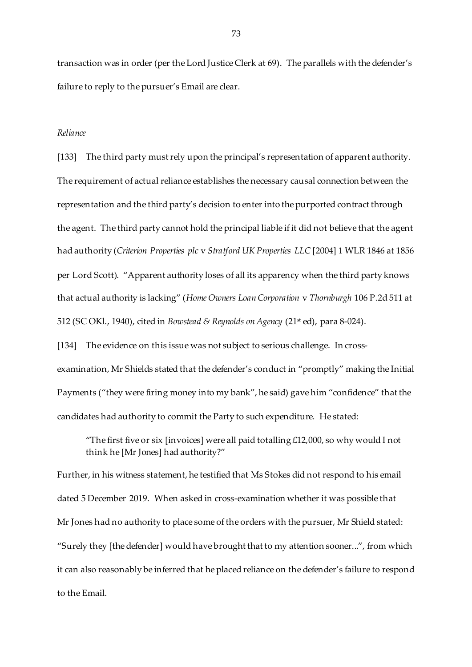transaction was in order (per the Lord Justice Clerk at 69). The parallels with the defender's failure to reply to the pursuer's Email are clear.

### *Reliance*

[133] The third party must rely upon the principal's representation of apparent authority. The requirement of actual reliance establishes the necessary causal connection between the representation and the third party's decision to enter into the purported contract through the agent. The third party cannot hold the principal liable if it did not believe that the agent had authority (*Criterion Properties plc* v *Stratford UK Properties LLC* [2004] 1 WLR 1846 at 1856 per Lord Scott). "Apparent authority loses of all its apparency when the third party knows that actual authority is lacking" (*Home Owners Loan Corporation* v *Thornburgh* 106 P.2d 511 at 512 (SC OKl., 1940), cited in *Bowstead & Reynolds on Agency* (21st ed), para 8-024).

[134] The evidence on this issue was not subject to serious challenge. In crossexamination, Mr Shields stated that the defender's conduct in "promptly" making the Initial Payments ("they were firing money into my bank", he said) gave him "confidence" that the candidates had authority to commit the Party to such expenditure. He stated:

"The first five or six [invoices] were all paid totalling  $£12,000$ , so why would I not think he [Mr Jones] had authority?"

Further, in his witness statement, he testified that Ms Stokes did not respond to his email dated 5 December 2019. When asked in cross-examination whether it was possible that Mr Jones had no authority to place some of the orders with the pursuer, Mr Shield stated: "Surely they [the defender] would have brought that to my attention sooner...", from which it can also reasonably be inferred that he placed reliance on the defender's failure to respond to the Email.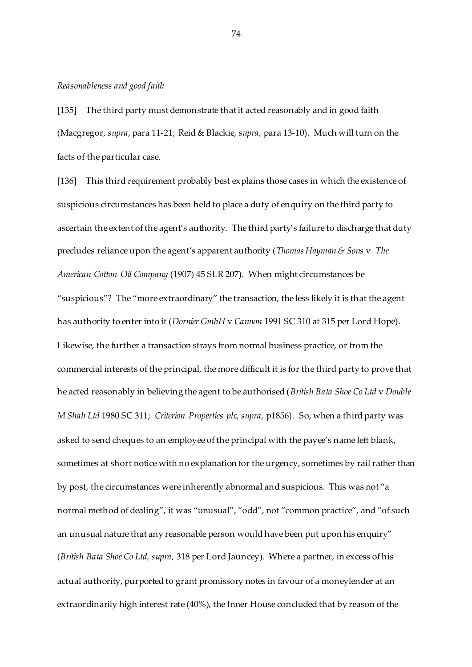# *Reasonableness and good faith*

[135] The third party must demonstrate that it acted reasonably and in good faith (Macgregor, *supra*, para 11-21; Reid & Blackie, *supra,* para 13-10). Much will turn on the facts of the particular case.

[136] This third requirement probably best explains those cases in which the existence of suspicious circumstances has been held to place a duty of enquiry on the third party to ascertain the extent of the agent's authority. The third party's failure to discharge that duty precludes reliance upon the agent's apparent authority (*Thomas Hayman & Sons* v *The American Cotton Oil Company* (1907) 45 SLR 207). When might circumstances be "suspicious"? The "more extraordinary" the transaction, the less likely it is that the agent has authority to enter into it (*Dornier GmbH* v *Cannon* 1991 SC 310 at 315 per Lord Hope). Likewise, the further a transaction strays from normal business practice, or from the commercial interests of the principal, the more difficult it is for the third party to prove that he acted reasonably in believing the agent to be authorised (*British Bata Shoe Co Ltd* v *Double M Shah Ltd* 1980 SC 311; *Criterion Properties plc, supra,* p1856). So, when a third party was asked to send cheques to an employee of the principal with the payee's name left blank, sometimes at short notice with no explanation for the urgency, sometimes by rail rather than by post, the circumstances were inherently abnormal and suspicious. This was not "a normal method of dealing", it was "unusual", "odd", not "common practice", and "of such an unusual nature that any reasonable person would have been put upon his enquiry" (*British Bata Shoe Co Ltd, supra,* 318 per Lord Jauncey). Where a partner, in excess of his actual authority, purported to grant promissory notes in favour of a moneylender at an extraordinarily high interest rate (40%), the Inner House concluded that by reason of the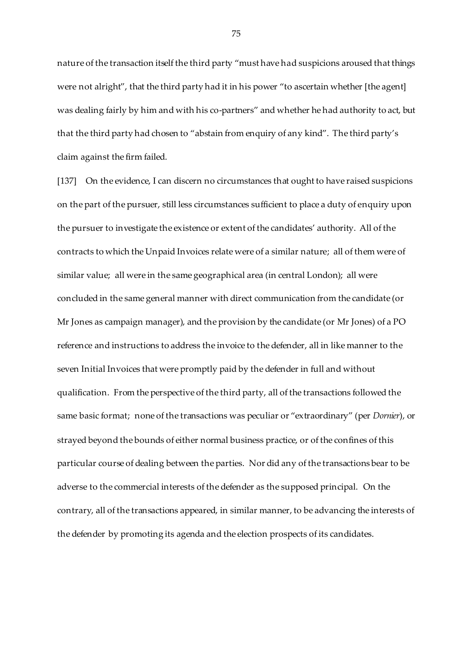nature of the transaction itself the third party "must have had suspicions aroused that things were not alright", that the third party had it in his power "to ascertain whether [the agent] was dealing fairly by him and with his co-partners" and whether he had authority to act, but that the third party had chosen to "abstain from enquiry of any kind". The third party's claim against the firm failed.

[137] On the evidence, I can discern no circumstances that ought to have raised suspicions on the part of the pursuer, still less circumstances sufficient to place a duty of enquiry upon the pursuer to investigate the existence or extent of the candidates' authority. All of the contracts to which the Unpaid Invoices relate were of a similar nature; all of them were of similar value; all were in the same geographical area (in central London); all were concluded in the same general manner with direct communication from the candidate (or Mr Jones as campaign manager), and the provision by the candidate (or Mr Jones) of a PO reference and instructions to address the invoice to the defender, all in like manner to the seven Initial Invoices that were promptly paid by the defender in full and without qualification. From the perspective of the third party, all of the transactions followed the same basic format; none of the transactions was peculiar or "extraordinary" (per *Dornier*), or strayed beyond the bounds of either normal business practice, or of the confines of this particular course of dealing between the parties. Nor did any of the transactions bear to be adverse to the commercial interests of the defender as the supposed principal. On the contrary, all of the transactions appeared, in similar manner, to be advancing the interests of the defender by promoting its agenda and the election prospects of its candidates.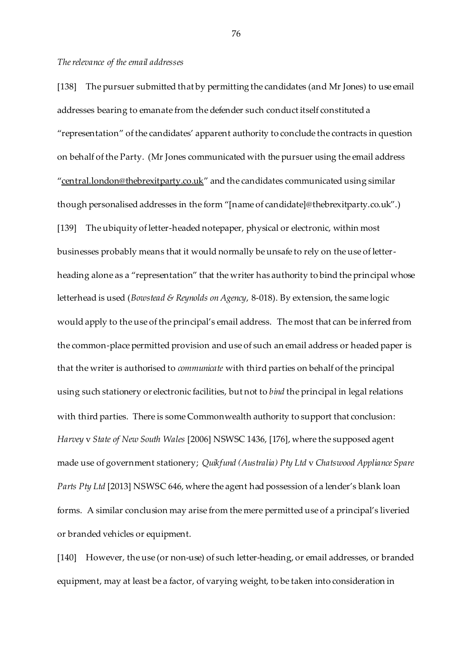### *The relevance of the email addresses*

[138] The pursuer submitted that by permitting the candidates (and Mr Jones) to use email addresses bearing to emanate from the defender such conduct itself constituted a "representation" of the candidates' apparent authority to conclude the contracts in question on behalf of the Party. (Mr Jones communicated with the pursuer using the email address "[central.london@thebrexitparty.co.uk](mailto:central.london@thebrexitparty.co.uk)" and the candidates communicated using similar though personalised addresses in the form "[name of candidate]@thebrexitparty.co.uk".) [139] The ubiquity of letter-headed notepaper, physical or electronic, within most businesses probably means that it would normally be unsafe to rely on the use of letterheading alone as a "representation" that the writer has authority to bind the principal whose letterhead is used (*Bowstead & Reynolds on Agency*, 8-018). By extension, the same logic would apply to the use of the principal's email address. The most that can be inferred from the common-place permitted provision and use of such an email address or headed paper is that the writer is authorised to *communicate* with third parties on behalf of the principal using such stationery or electronic facilities, but not to *bind* the principal in legal relations with third parties. There is some Commonwealth authority to support that conclusion: *Harvey* v *State of New South Wales* [2006] NSWSC 1436, [176], where the supposed agent made use of government stationery; *Quikfund (Australia) Pty Ltd* v *Chatswood Appliance Spare Parts Pty Ltd* [2013] NSWSC 646, where the agent had possession of a lender's blank loan forms. A similar conclusion may arise from the mere permitted use of a principal's liveried or branded vehicles or equipment.

[140] However, the use (or non-use) of such letter-heading, or email addresses, or branded equipment, may at least be a factor, of varying weight, to be taken into consideration in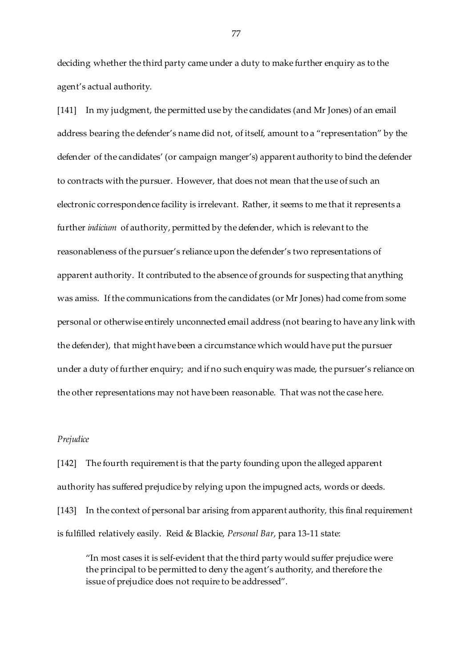deciding whether the third party came under a duty to make further enquiry as to the agent's actual authority.

[141] In my judgment, the permitted use by the candidates (and Mr Jones) of an email address bearing the defender's name did not, of itself, amount to a "representation" by the defender of the candidates' (or campaign manger's) apparent authority to bind the defender to contracts with the pursuer. However, that does not mean that the use of such an electronic correspondence facility is irrelevant. Rather, it seems to me that it represents a further *indicium* of authority, permitted by the defender, which is relevant to the reasonableness of the pursuer's reliance upon the defender's two representations of apparent authority. It contributed to the absence of grounds for suspecting that anything was amiss. If the communications from the candidates (or Mr Jones) had come from some personal or otherwise entirely unconnected email address (not bearing to have any link with the defender), that might have been a circumstance which would have put the pursuer under a duty of further enquiry; and if no such enquiry was made, the pursuer's reliance on the other representations may not have been reasonable. That was not the case here.

# *Prejudice*

[142] The fourth requirement is that the party founding upon the alleged apparent authority has suffered prejudice by relying upon the impugned acts, words or deeds. [143] In the context of personal bar arising from apparent authority, this final requirement is fulfilled relatively easily. Reid & Blackie, *Personal Bar*, para 13-11 state:

"In most cases it is self-evident that the third party would suffer prejudice were the principal to be permitted to deny the agent's authority, and therefore the issue of prejudice does not require to be addressed".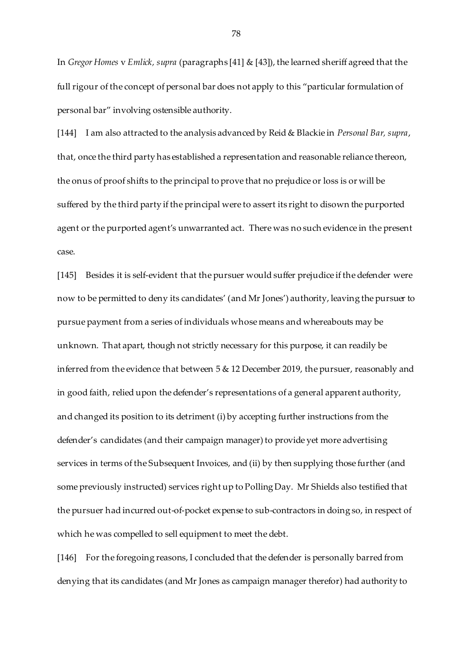In *Gregor Homes* v *Emlick, supra* (paragraphs [41] & [43]), the learned sheriff agreed that the full rigour of the concept of personal bar does not apply to this "particular formulation of personal bar" involving ostensible authority.

[144] I am also attracted to the analysis advanced by Reid & Blackie in *Personal Bar, supra*, that, once the third party has established a representation and reasonable reliance thereon, the onus of proof shifts to the principal to prove that no prejudice or loss is or will be suffered by the third party if the principal were to assert its right to disown the purported agent or the purported agent's unwarranted act. There was no such evidence in the present case.

[145] Besides it is self-evident that the pursuer would suffer prejudice if the defender were now to be permitted to deny its candidates' (and Mr Jones') authority, leaving the pursuer to pursue payment from a series of individuals whose means and whereabouts may be unknown. That apart, though not strictly necessary for this purpose, it can readily be inferred from the evidence that between 5 & 12 December 2019, the pursuer, reasonably and in good faith, relied upon the defender's representations of a general apparent authority, and changed its position to its detriment (i) by accepting further instructions from the defender's candidates (and their campaign manager) to provide yet more advertising services in terms of the Subsequent Invoices, and (ii) by then supplying those further (and some previously instructed) services right up to Polling Day. Mr Shields also testified that the pursuer had incurred out-of-pocket expense to sub-contractors in doing so, in respect of which he was compelled to sell equipment to meet the debt.

[146] For the foregoing reasons, I concluded that the defender is personally barred from denying that its candidates (and Mr Jones as campaign manager therefor) had authority to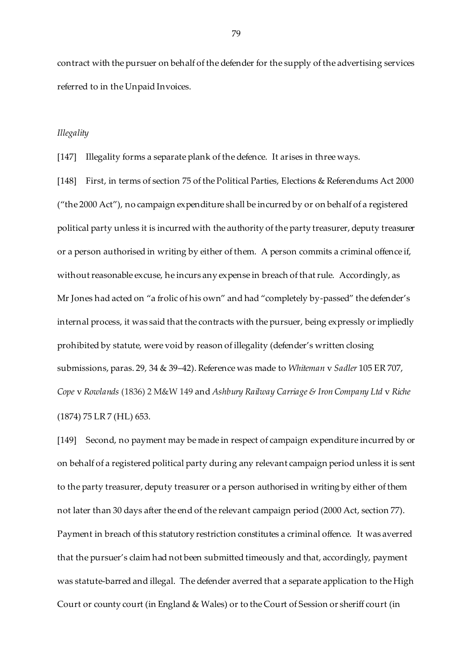contract with the pursuer on behalf of the defender for the supply of the advertising services referred to in the Unpaid Invoices.

## *Illegality*

[147] Illegality forms a separate plank of the defence. It arises in three ways.

[148] First, in terms of section 75 of the Political Parties, Elections & Referendums Act 2000 ("the 2000 Act"), no campaign expenditure shall be incurred by or on behalf of a registered political party unless it is incurred with the authority of the party treasurer, deputy treasurer or a person authorised in writing by either of them. A person commits a criminal offence if, without reasonable excuse, he incurs any expense in breach of that rule. Accordingly, as Mr Jones had acted on "a frolic of his own" and had "completely by-passed" the defender's internal process, it was said that the contracts with the pursuer, being expressly or impliedly prohibited by statute, were void by reason of illegality (defender's written closing submissions, paras. 29, 34 & 39–42). Reference was made to *Whiteman* v *Sadler* 105 ER 707, *Cope* v *Rowlands* (1836) 2 M&W 149 and *Ashbury Railway Carriage & Iron Company Ltd* v *Riche* (1874) 75 LR 7 (HL) 653.

[149] Second, no payment may be made in respect of campaign expenditure incurred by or on behalf of a registered political party during any relevant campaign period unless it is sent to the party treasurer, deputy treasurer or a person authorised in writing by either of them not later than 30 days after the end of the relevant campaign period (2000 Act, section 77). Payment in breach of this statutory restriction constitutes a criminal offence. It was averred that the pursuer's claim had not been submitted timeously and that, accordingly, payment was statute-barred and illegal. The defender averred that a separate application to the High Court or county court (in England & Wales) or to the Court of Session or sheriff court (in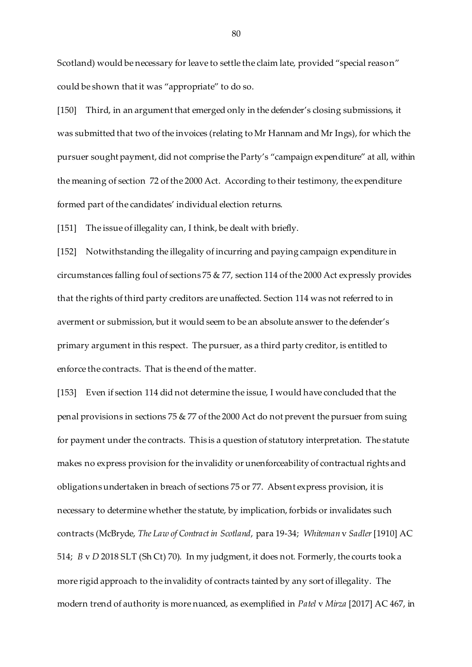Scotland) would be necessary for leave to settle the claim late, provided "special reason" could be shown that it was "appropriate" to do so.

[150] Third, in an argument that emerged only in the defender's closing submissions, it was submitted that two of the invoices (relating to Mr Hannam and Mr Ings), for which the pursuer sought payment, did not comprise the Party's "campaign expenditure" at all, within the meaning of section 72 of the 2000 Act. According to their testimony, the expenditure formed part of the candidates' individual election returns.

[151] The issue of illegality can, I think, be dealt with briefly.

[152] Notwithstanding the illegality of incurring and paying campaign expenditure in circumstances falling foul of sections 75 & 77, section 114 of the 2000 Act expressly provides that the rights of third party creditors are unaffected. Section 114 was not referred to in averment or submission, but it would seem to be an absolute answer to the defender's primary argument in this respect. The pursuer, as a third party creditor, is entitled to enforce the contracts. That is the end of the matter.

[153] Even if section 114 did not determine the issue, I would have concluded that the penal provisions in sections 75 & 77 of the 2000 Act do not prevent the pursuer from suing for payment under the contracts. This is a question of statutory interpretation. The statute makes no express provision for the invalidity or unenforceability of contractual rights and obligations undertaken in breach of sections 75 or 77. Absent express provision, it is necessary to determine whether the statute, by implication, forbids or invalidates such contracts (McBryde, *The Law of Contract in Scotland*, para 19-34; *Whiteman* v *Sadler*[1910] AC 514; *B* v *D* 2018 SLT (Sh Ct) 70). In my judgment, it does not. Formerly, the courts took a more rigid approach to the invalidity of contracts tainted by any sort of illegality. The modern trend of authority is more nuanced, as exemplified in *Patel* v *Mirza* [2017] AC 467, in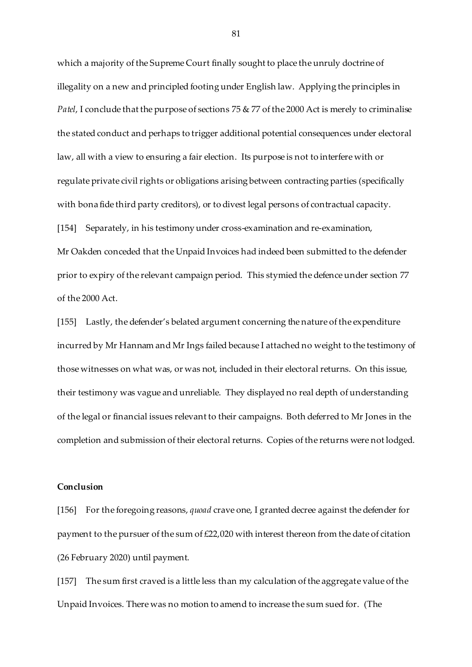which a majority of the Supreme Court finally sought to place the unruly doctrine of illegality on a new and principled footing under English law. Applying the principles in *Patel*, I conclude that the purpose of sections 75 & 77 of the 2000 Act is merely to criminalise the stated conduct and perhaps to trigger additional potential consequences under electoral law, all with a view to ensuring a fair election. Its purpose is not to interfere with or regulate private civil rights or obligations arising between contracting parties (specifically with bona fide third party creditors), or to divest legal persons of contractual capacity. [154] Separately, in his testimony under cross-examination and re-examination, Mr Oakden conceded that the Unpaid Invoices had indeed been submitted to the defender prior to expiry of the relevant campaign period. This stymied the defence under section 77 of the 2000 Act.

[155] Lastly, the defender's belated argument concerning the nature of the expenditure incurred by Mr Hannam and Mr Ings failed because I attached no weight to the testimony of those witnesses on what was, or was not, included in their electoral returns. On this issue, their testimony was vague and unreliable. They displayed no real depth of understanding of the legal or financial issues relevant to their campaigns. Both deferred to Mr Jones in the completion and submission of their electoral returns. Copies of the returns were not lodged.

## **Conclusion**

[156] For the foregoing reasons, *quoad* crave one, I granted decree against the defender for payment to the pursuer of the sum of £22,020 with interest thereon from the date of citation (26 February 2020) until payment.

[157] The sum first craved is a little less than my calculation of the aggregate value of the Unpaid Invoices. There was no motion to amend to increase the sum sued for. (The